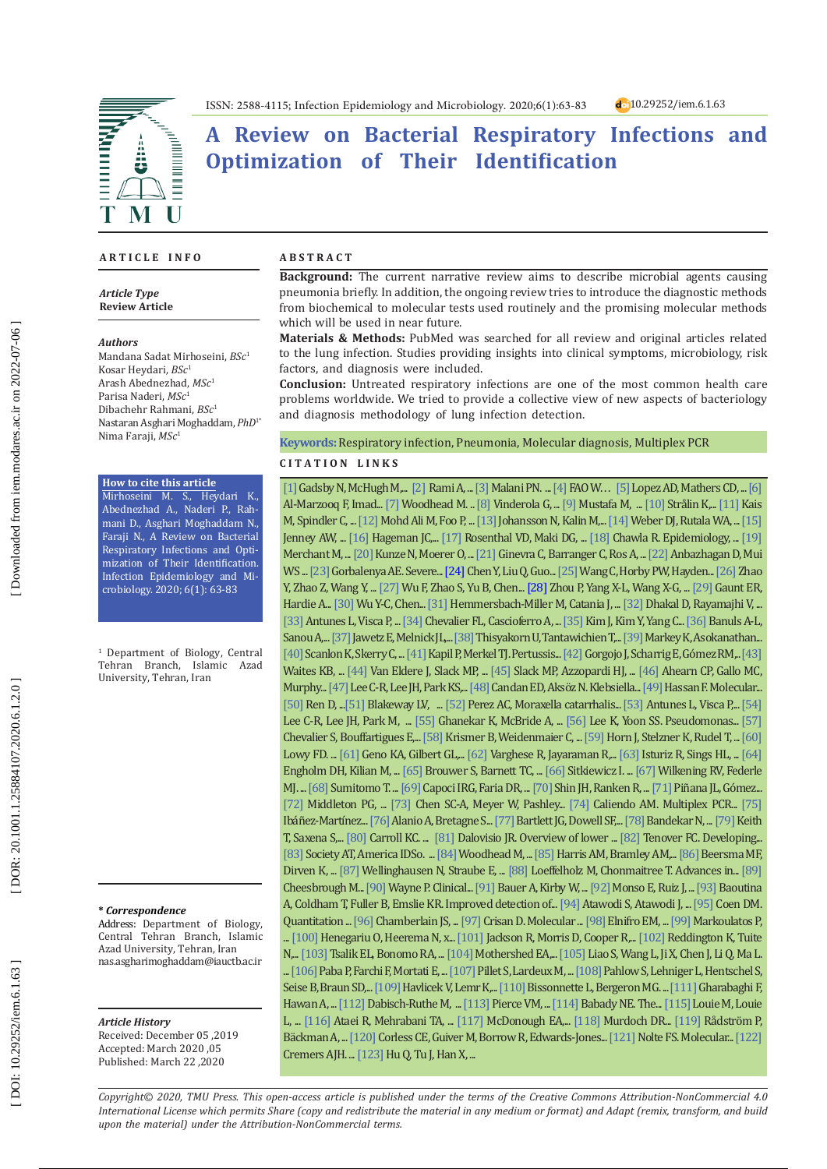# **A Review on Bacterial Respiratory Infections and Optimization of Their Identification**

#### **A R T I C L E I N F O**

Â

M

*Article Type* **Review Article**

#### *Authors*

**EXHIBITION** 

 $\overline{\mathbf{I}}$ 

Mandana Sadat Mirhoseini, *BSc* 1 Kosar Heydari, *BSc* 1 Arash Abednezhad, *MSc* 1 Parisa Naderi, *MSc* 1 Dibachehr Rahmani, *BSc* 1 Nastaran Asghari Moghaddam, *PhD*1\* Nima Faraji, *MSc* 1

#### **How to cite this article**

Mirhoseini M. S., Heydari K., Abednezhad A., Naderi P., Rah mani D., Asghari Moghaddam N., Faraji N., A Review on Bacterial Respiratory Infections and Opti mization of Their Identification. Infection Epidemiology and Mi crobiology. 2020; 6(1): 63-83

1 Department of Biology, Central Tehran Branch, Islamic Azad University, Tehran, Iran

#### **\*** *Correspondence*

Address: Department of Biology, Central Tehran Branch, Islamic Azad University, Tehran, Iran nas.asgharimoghaddam@iauctb.ac.ir

#### *Article History*

Received: December 05 ,2019 Accepted: March 2020 ,05 Published: March 22 ,2020

#### **A B S T R A C T**

**Background:** The current narrative review aims to describe microbial agents causing pneumonia briefly. In addition, the ongoing review tries to introduce the diagnostic methods from biochemical to molecular tests used routinely and the promising molecular methods which will be used in near future.

**Materials & Methods:** PubMed was searched for all review and original articles related to the lung infection. Studies providing insights into clinical symptoms, microbiology, risk factors, and diagnosis were included.

**Conclusion:** Untreated respiratory infections are one of the most common health care problems worldwide. We tried to provide a collective view of new aspects of bacteriology and diagnosis methodology of lung infection detection.

**Keywords:** Respiratory infection, Pneumonia, Molecular diagnosis, Multiplex PCR

#### **C I T A T I O N L I N K S**

 $[1]$  Gadsby N, McHugh M,...  $[2]$  Rami A, ...  $[3]$  $[3]$  $[3]$  Malani PN. ...  $[4]$  $[4]$  $[4]$  FAO W...  $[5]$  Lopez AD, Mathers CD, ...  $[6]$  $[6]$  $[6]$ Al-Marzooq F, Imad... [[7](https://erj.ersjournals.com/content/20/36_suppl/20s.short)] Woodhead M. .. [[8](https://www.sciencedirect.com/science/article/pii/S0023643807003568)] Vinderola G, ... [[9](http://www.msptm.org/files/531_-_544_Al-Marzooq_F.pdf)] Mustafa M, ... [\[10](https://onlinelibrary.wiley.com/doi/abs/10.1111/j.1600-0463.2005.apm1130203.x)] Strålin K,... [\[11](https://www.sciencedirect.com/science/article/abs/pii/S0732889306000095)] Kais M, Spindler C, ... [\[12](http://msptm.org/files/Vol36No2/379-389-Chan-Yean-Yean.pdf)] Mohd Ali M, Foo P, ... [\[13](https://academic.oup.com/cid/article/50/2/202/328880)] Johansson N, Kalin M,... [\[14](https://www.cambridge.org/core/journals/infection-control-and-hospital-epidemiology/article/microbiology-of-ventilatorassociated-pneumonia-compared-with-that-of-hospitalacquired-pneumonia/6ACEE328B9C00E9F385A237ECB914D98)] Weber DJ, Rutala WA, ... [\[15\]](https://jcm.asm.org/content/44/1/102.short) Jenney AW, ... [\[16](https://www.ncbi.nlm.nih.gov/pmc/articles/PMC3373026/) ] Hageman JC,... [\[17](https://www.acpjournals.org/doi/abs/10.7326/0003-4819-145-8-200610170-00007) ] Rosenthal VD, Maki DG, ... [\[18](https://www.sciencedirect.com/science/article/abs/pii/S0196655307007158) ] Chawla R. Epidemiology, ... [\[19](https://www.sciencedirect.com/science/article/abs/pii/S0195670198903280) ] Merchant M, ... [\[20\]](https://ann-clinmicrob.biomedcentral.com/articles/10.1186/s12941-015-0091-3) Kunze N, Moerer O, ... [\[21](https://jcm.asm.org/content/43/7/3247.short)] Ginevra C, Barranger C, Ros A, ... [\[22\] A](https://www.scielo.br/scielo.php?pid=S1517-83822011000200006&script=sci_arttext)nbazhagan D, Mui WS ... [\[23\] G](https://www.biorxiv.org/content/10.1101/2020.02.07.937862v1.abstract)orbalenya AE. Severe... [\[24](https://onlinelibrary.wiley.com/doi/full/10.1002/jmv.25681)] Chen Y, Liu Q, Guo... [\[25](https://pubmed.ncbi.nlm.nih.gov/31986257/)] Wang C, Horby PW, Hayden... [\[26](https://www.biorxiv.org/content/10.1101/2020.01.26.919985v1)] Zhao Y, Zhao Z, Wang Y, ... [\[27](https://www.nature.com/articles/s41586-020-2008-3?fbclid=IwAR1VfqWqfRxS1Fi7Mh8yK4X03bcT8VUnnaymxMGlXYdwzWLPv4XhCIuYmFY) ] Wu F, Zhao S, Yu B, Chen... [\[28\] Z](https://www.nature.com/articles/s41586-020-2012-7?rel=outbound)hou P, Yang X-L, Wang X-G, ... [\[29\] G](https://jcm.asm.org/content/48/8/2940.short)aunt ER, Hardie A... [\[30\] W](http://tools.ovid.com/coronavirus/oft/02118582-900000000-99813.pdf)u Y-C, Chen... [\[31](https://link.springer.com/article/10.1007/s11908-019-0684-7)] Hemmersbach-Miller M, Catania J, ... [\[32](https://link.springer.com/article/10.1007/s10295-018-02120-y)] Dhakal D, Rayamajhi V, ... [\[33](https://academic.oup.com/femspd/article/71/3/292/475786)] Antunes L, Visca P, ... [\[34](https://www.futuremedicine.com/doi/abs/10.2217/fmb.14.70)] Chevalier FL, Cascioferro A, ... [\[35](http://www.papersearch.net/thesis/article.asp?key=3708183)] Kim J, Kim Y, Yang C... [\[36](https://www.microbiologyresearch.org/content/journal/jmm/10.1099/jmm.0.000171)] Banuls A-L, Sanou A,... [\[37](https://www.bib.irb.hr/812052?rad=812052) ] Jawetz E, Melnick JL,... [\[38](https://www.sciencedirect.com/science/article/pii/S1201971219303017) ] Thisyakorn U, Tantawichien T,... [\[39\]](https://www.mdpi.com/2072-6651/11/7/417) Markey K, Asokanathan...  $[40]$  $[40]$  Scanlon K, Skerry C, ...  $[41]$  $[41]$  Kapil P, Merkel TJ. Pertussis...  $[42]$  $[42]$  Gorgojo J, Scharrig E, Gómez RM,..  $[43]$ Waites KB, ... [\[44](https://www.sciencedirect.com/science/article/abs/pii/S1473309914707340)] Van Eldere J, Slack MP, ... [\[45](https://journals.lww.com/pidj/Fulltext/1998/09001/Enhanced_surveillance_of_invasive_Haemophilus.26.aspx)] Slack MP, Azzopardi HJ, ... [\[46](https://academic.oup.com/femspd/article/75/4/ftx042/3753446)] Ahearn CP, Gallo MC, Murphy... [\[47\]](https://www.frontiersin.org/articles/10.3389/fcimb.2017.00483/full) Lee C-R, Lee JH, Park KS,... [\[48](https://ojs.ptbioch.edu.pl/index.php/abp/article/view/1726)] Candan ED, Aksöz N. Klebsiella... [\[49\] H](https://link.springer.com/article/10.1007/s11882-013-0374-8)assan F. Molecular...  $[50]$  $[50]$  Ren D, ... $[51]$  $[51]$  Blakeway LV, ...  $[52]$  $[52]$  Perez AC, Moraxella catarrhalis...  $[53]$  $[53]$  Antunes L, Visca P,...  $[54]$ Lee C-R, Lee JH, Park M, ... [\[55](https://onlinelibrary.wiley.com/doi/full/10.1046/j.1365-2958.1999.01539.x)] Ghanekar K, McBride A, ... [\[56](https://scholar.google.com/scholar?hl=en&as_sdt=0%2C5&q=ee+K%2C+Yoon+SS.+Pseudomonas+aeruginosa+biofilm%2C+a+programmed+bacterial+life+for+fitness.+2017.&btnG=)] Lee K, Yoon SS. Pseudomonas... [\[57\]](https://academic.oup.com/femsre/article/41/5/698/3959603) Chevalier S, Bouffartigues E,... [\[58](https://www.nature.com/articles/nrmicro.2017.104)] Krismer B, Weidenmaier C, ... [\[59](https://www.sciencedirect.com/science/article/abs/pii/S1438422117303168)] Horn J, Stelzner K, Rudel T, ... [\[60\]](https://www.nejm.org/doi/full/10.1056/nejm199808203390806) Lowy FD. ...  $[61]$  $[61]$  Geno KA, Gilbert GL,...  $[62]$  $[62]$  Varghese R, Jayaraman R,...  $[63]$  Isturiz R, Sings HL, ...  $[64]$  $[64]$ Engholm DH, Kilian M, ... [\[65](https://febs.onlinelibrary.wiley.com/doi/abs/10.1002/1873-3468.12254@10.1002/\(ISSN\)1873-3468\(CAT\)FreeReviewContent\(VI\)SIReviews) ] Brouwer S, Barnett TC, ... [\[66](https://onlinelibrary.wiley.com/doi/abs/10.1111/omi.12192) ] Sitkiewicz I. ... [\[67](https://www.sciencedirect.com/science/article/abs/pii/S0966842X17300197) ] Wilkening RV, Federle MJ. ... [\[68](https://europepmc.org/article/med/28845032)] Sumitomo T. ... [\[69](https://www.sciencedirect.com/science/article/abs/pii/S0045206818309489)] Capoci IRG, Faria DR, ... [\[70](https://jcm.asm.org/content/51/1/136.short)] Shin JH, Ranken R, ... [\[71](https://onlinelibrary.wiley.com/doi/full/10.1111/tid.13158)] Piñana JL, Gòmez... [ $72$ ] Middleton PG, ... [ $73$ ] Chen SC-A, Meyer W, Pashley... [ $74$ ] Caliendo AM. Multiplex PCR... [ $75$ ] Ibánez-Martínez... [\[76\]](https://academic.oup.com/mmy/article/55/1/56/2724592) Alanio A, Bretagne S... [\[77](https://academic.oup.com/cid/article/31/2/347/293404)] Bartlett JG, Dowell SF,... [\[78\] B](https://www.semanticscholar.org/paper/Beta-lactamases-mediated-resistance-amongst-gram-in-Bandekar-Vinodkumar/aca38a932a1dbc254dca7a4514377ab5e49c456c)andekar N, ... [\[79\] K](https://journals.lww.com/co-infectiousdiseases/Abstract/2010/06000/Risk_benefit_analysis_of_restricting_antimicrobial.8.aspx)eith  $T$ , Saxena S,...  $[80]$  $[80]$  Carroll KC. ...  $[81]$  $[81]$  Dalovisio JR. Overview of lower ...  $[82]$  $[82]$  Tenover FC. Developing... [\[83](https://search.proquest.com/openview/a1f5fc7969996bf33f6aeedad5f37e7e/1?pq-origsite=gscholar&cbl=40575)] Society AT, America IDSo. … [\[84\]](https://erj.ersjournals.com/content/26/6/1138.short) Woodhead M, … [\[85\] H](https://academic.oup.com/ofid/article/4/1/ofx014/2982004)arris AM, Bramley AM,… [\[86\] B](https://jcm.asm.org/content/43/5/2277.short)eersma MF, Dirven K, ... [\[87](https://www.sciencedirect.com/science/article/abs/pii/S1438422106001664)] Wellinghausen N, Straube E, ... [\[88\] L](https://www.ncbi.nlm.nih.gov/pmc/articles/PMC2958490/)oeffelholz M, Chonmaitree T. Advances in... [\[89\]](https://books.google.com/books?hl=en&lr=&id=P0QhAwAAQBAJ&oi=fnd&pg=PA1&dq=Cheesbrough+M.+Pseudomonas+and+related+organisms.+Biochemical+test+to+identify+bacteria.+Antibiotic+susceptibility+testing.+District+Laboratory+Practice+in+tropical+countries+Cambri\
dge+University+Press,+New+York,+USA.+2000:1933-43.&ots=2Y06QoTwCg&sig=oDJ0l71lW1FBGW2kQnNNLDl_rno#v=onepage&q&f=false) Cheesbrough M..[. \[90](https://www.sid.ir/en/Journal/ViewPaper.aspx?ID=450165) ] Wayne P. Clinical... [\[91](https://ci.nii.ac.jp/naid/10024190092/) ] Bauer A, Kirby W, ... [\[92](https://www.researchgate.net/publication/15648505_Bacterial_infection_in_chronic_obstructive_pulmonary_disease_A_study_of_stable_and_exacerbated_outpatients_using_the_protected_specimen_brush) ] Monso E, Ruiz J, ... [\[93](https://www.liebertpub.com/doi/full/10.1089/hgtb.2013.128) ] Baoutina A, Coldham T, Fuller B, Emslie KR. Improved detection of... [\[94\]](https://www.researchgate.net/publication/272471320_Polymerase_chain_reaction_Theory_practice_and_application_A_review) Atawodi S, Atawodi J, ... [\[95\] C](https://currentprotocols.onlinelibrary.wiley.com/doi/abs/10.1002/0471142727.mb1507s56)oen DM. Quantitation ... [\[96](https://academic.oup.com/nar/article-abstract/16/23/11141/1142578)] Chamberlain JS, ..[. \[97](http://www.annclinlabsci.org/content/24/4/355.short)] Crisan D. Molecular ... [\[98](https://cmr.asm.org/content/13/4/559.short)] Elnifro EM, ... [\[99](https://onlinelibrary.wiley.com/doi/abs/10.1002/1098-2825\(2000\)14:5%3C214::AID-JCLA3%3E3.0.CO;2-4)] Markoulatos P, ... [\[100](https://www.future-science.com/doi/abs/10.2144/97233rr01)] Henegariu O, Heerema N, x... [\[101](https://www.sciencedirect.com/science/article/abs/pii/0166093495019030)] Jackson R, Morris D, Cooper R,... [\[102](https://journals.lww.com/co-pulmonarymedicine/Abstract/2013/05000/Advances_in_multiparametric_molecular_diagnostics.16.aspx)] Reddington K, Tuite N,... [\[103](https://pubmed.ncbi.nlm.nih.gov/29414265/) ] Tsalik EL, Bonomo RA, ... [\[104](https://www.sciencedirect.com/science/article/pii/S0009898105004390) ] Mothershed EA,... [\[105\] L](https://www.ncbi.nlm.nih.gov/pmc/articles/PMC6526376/)iao S, Wang L, Ji X, Chen J, Li Q, Ma L. ...  $[106]$  $[106]$  Paba P, Farchi F, Mortati E, ...  $[107]$  $[107]$  Pillet S, Lardeux M, ...  $[108]$  $[108]$  Pahlow S, Lehniger L, Hentschel S, Seise B, Braun SD,..[. \[109](https://pubs.acs.org/doi/abs/10.1021/ac3031866)] Havlicek V, Lemr K,... [\[110](https://www.sciencedirect.com/science/article/abs/pii/S019643991200044X)] Bissonnette L, Bergeron MG. ... [\[111\]](https://onlinelibrary.wiley.com/doi/full/10.1111/j.1469-0691.2011.03529.x) Gharabaghi F, Hawan A, ...  $[112]$  $[112]$  Dabisch-Ruthe M, ...  $[113]$  $[113]$  Pierce VM, ...  $[114]$  $[114]$  Babady NE. The...  $[115]$  Louie M, Louie L, ... [\[116](https://www.sid.ir/en/journal/ViewPaper.aspx?ID=167207) ] Ataei R, Mehrabani TA, ... [\[117](https://www.sciencedirect.com/science/article/abs/pii/S0890850805000344) ] McDonough EA,... [\[118](https://pubmed.ncbi.nlm.nih.gov/15638835/) ] Murdoch DR... [\[119](https://pubmed.ncbi.nlm.nih.gov/7852565/) ] Rådström P, Bäckman A, ... [\[120](https://pubmed.ncbi.nlm.nih.gov/11283086/)] Corless CE, Guiver M, Borrow R, Edwards-Jones... [\[121](https://pubmed.ncbi.nlm.nih.gov/18986277/)] Nolte FS. Molecular... [\[122\]](https://repository.ubn.ru.nl/bitstream/handle/2066/141376/141376.pdf) Cremers AJH. ... [\[123](https://pubmed.ncbi.nlm.nih.gov/21791228/) ] Hu Q, Tu J, Han X, ...

*Copyright© 2020, TMU Press. This open-access article is published under the terms of the Creative Commons Attribution-NonCommercial 4.0 International License which permits Share (copy and redistribute the material in any medium or format) and Adapt (remix, transform, and build upon the material) under the Attribution-NonCommercial terms.*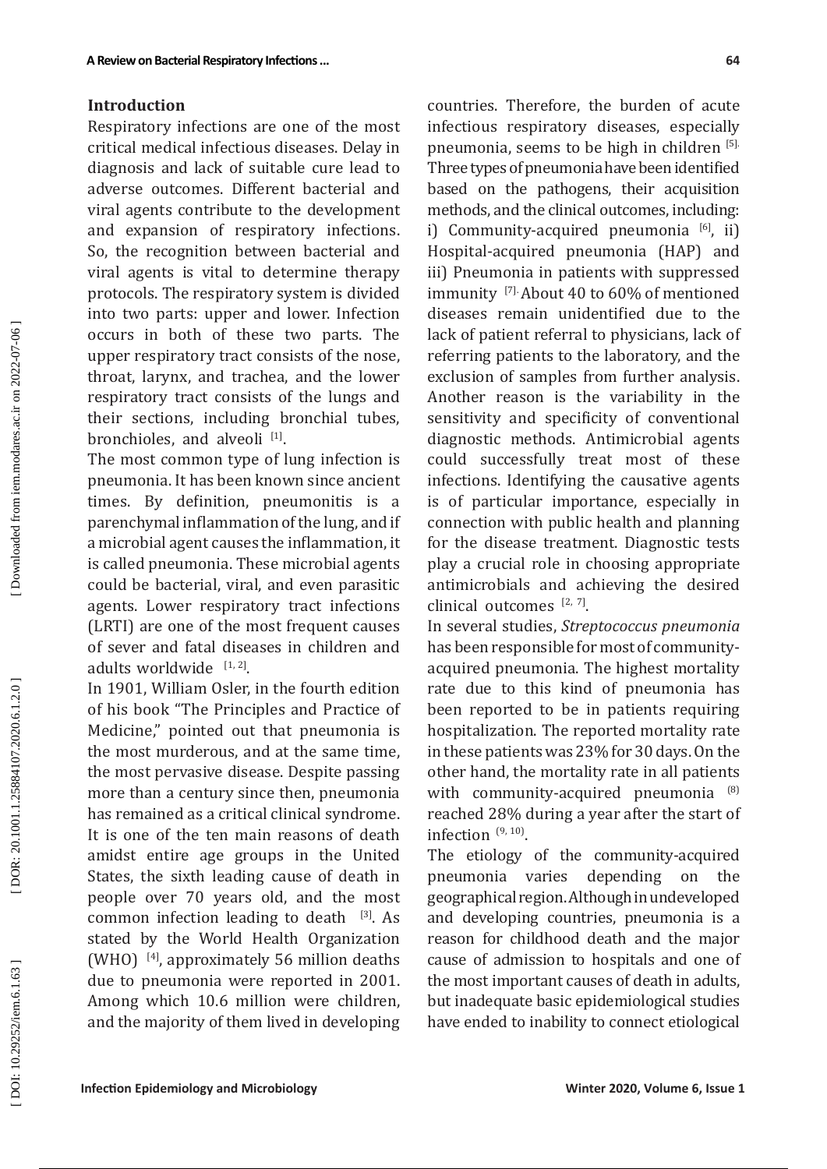#### **Introduction**

Respiratory infections are one of the most critical medical infectious diseases. Delay in diagnosis and lack of suitable cure lead to adverse outcomes. Different bacterial and viral agents contribute to the development and expansion of respiratory infections . So, the recognition between bacterial and viral agents is vital to determine therapy protocols. The respiratory system is divided into two parts: upper and lower. Infection occurs in both of these two parts. The upper respiratory tract consists of the nose, throat, larynx, and trachea, and the lower respiratory tract consists of the lungs and their sections, including bronchial tubes, bronchioles, and alveoli [1].

The most common type of lung infection is pneumonia. It has been known since ancient times. By definition, pneumonitis is a parenchymal inflammation of the lung, and if a microbial agent causes the inflammation, it is called pneumonia. These microbial agents could be bacterial, viral, and even parasitic agents. Lower respiratory tract infections (LRTI) are one of the most frequent causes of sever and fatal diseases in children and adults worldwide  $[1, 2]$ .

In 1901, William Osler, in the fourth edition of his book "The Principles and Practice of Medicine," pointed out that pneumonia is the most murderous, and at the same time, the most pervasive disease. Despite passing more than a century since then, pneumonia has remained as a critical clinical syndrome. It is one of the ten main reasons of death amidst entire age groups in the United States, the sixth leading cause of death in people over 70 years old, and the most common infection leading to death  $[3]$ . As stated by the World Health Organization (WHO)  $[4]$ , approximately 56 million deaths due to pneumonia were reported in 2001. Among which 10.6 million were children, and the majority of them lived in developing

countries. Therefore, the burden of acute infectious respiratory diseases, especially pneumonia, seems to be high in children [5]. Three types of pneumonia have been identified based on the pathogens, their acquisition methods, and the clinical outcomes, including: i) Community-acquired pneumonia  $[6]$ , ii) Hospital-acquired pneumonia (HAP) and iii) Pneumonia in patients with suppressed immunity<sup>[7]</sup> About 40 to 60% of mentioned diseases remain unidentified due to the lack of patient referral to physicians, lack of referring patients to the laboratory, and the exclusion of samples from further analysis. Another reason is the variability in the sensitivity and specificity of conventional diagnostic methods. Antimicrobial agents could successfully treat most of these infections. Identifying the causative agents is of particular importance, especially in connection with public health and planning for the disease treatment. Diagnostic tests play a crucial role in choosing appropriate antimicrobials and achieving the desired clinical outcomes  $[2, 7]$ .

In several studies, *Streptococcus pneumonia* has been responsible for most of communityacquired pneumonia. The highest mortality rate due to this kind of pneumonia has been reported to be in patients requiring hospitalization. The reported mortality rate in these patients was 23% for 30 days. On the other hand, the mortality rate in all patients with community-acquired pneumonia <sup>(8)</sup> reached 28% during a year after the start of infection  $(9, 10)$ .

The etiology of the community-acquired pneumonia varies depending on the geographical region. Although in undeveloped and developing countries, pneumonia is a reason for childhood death and the major cause of admission to hospitals and one of the most important causes of death in adults, but inadequate basic epidemiological studies have ended to inability to connect etiological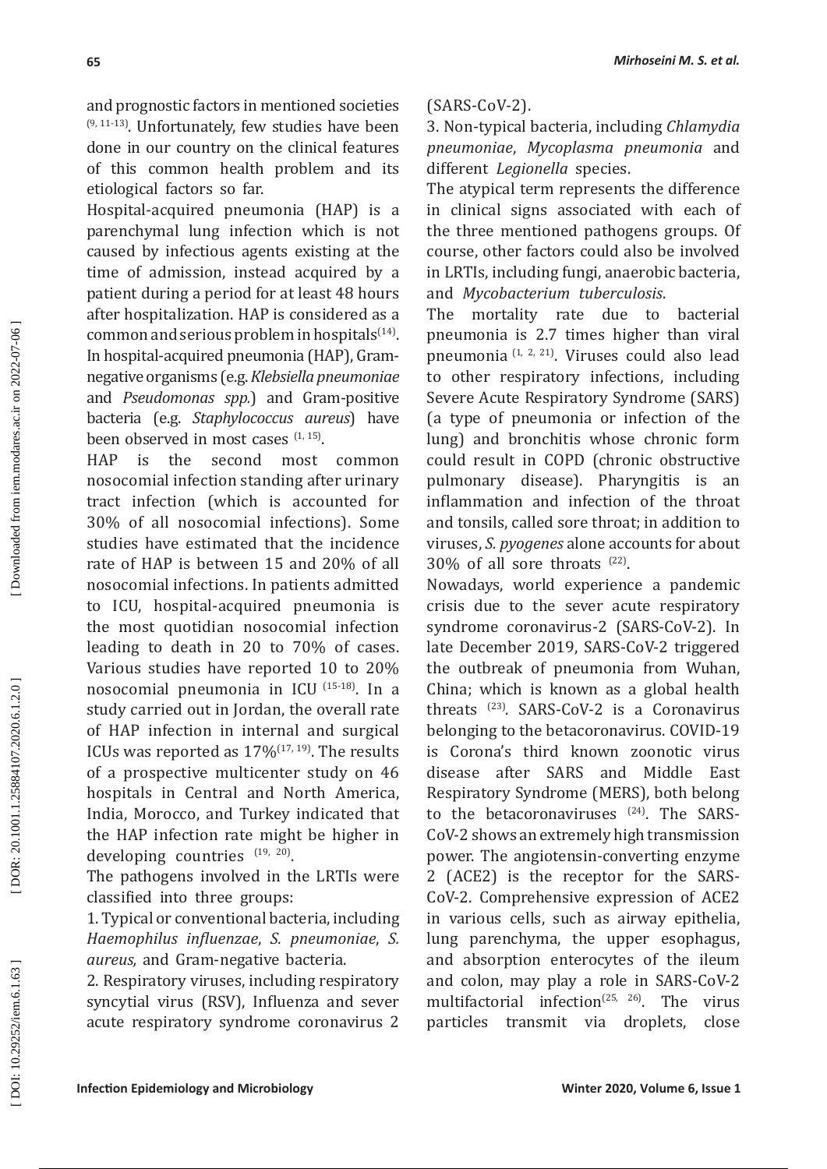and prognostic factors in mentioned societies  $(9, 11-13)$ . Unfortunately, few studies have been done in our country on the clinical features of this common health problem and its etiological factors so far.

Hospital-acquired pneumonia (HAP) is a parenchymal lung infection which is not caused by infectious agents existing at the time of admission, instead acquired by a patient during a period for at least 48 hours after hospitalization. HAP is considered as a common and serious problem in hospitals $(14)$ . In hospital-acquired pneumonia (HAP), Gramnegative organisms (e.g. *Klebsiella pneumoniae* and *Pseudomonas spp.*) and Gram-positive bacteria (e.g. *Staphylococcus aureus*) have been observed in most cases  $(1, 15)$ .

HAP is the second most common nosocomial infection standing after urinary tract infection (which is accounted for 30% of all nosocomial infections). Some studies have estimated that the incidence rate of HAP is between 15 and 20% of all nosocomial infections. In patients admitted to ICU, hospital-acquired pneumonia is the most quotidian nosocomial infection leading to death in 20 to 70% of cases. Various studies have reported 10 to 20% nosocomial pneumonia in ICU (15-18). In a study carried out in Jordan, the overall rate of HAP infection in internal and surgical ICUs was reported as  $17\%$ <sup>(17, 19)</sup>. The results of a prospective multicenter study on 46 hospitals in Central and North America, India, Morocco, and Turkey indicated that the HAP infection rate might be higher in developing countries  $^{(19, 20)}$ .

The pathogens involved in the LRTIs were classified into three groups:

1. Typical or conventional bacteria, including *Haemophilus influenzae*, *S. pneumoniae*, *S. aureus,* and Gram-negative bacteria.

2. Respiratory viruses, including respiratory syncytial virus (RSV), Influenza and sever acute respiratory syndrome coronavirus 2

# (SARS-CoV-2).

3. Non-typical bacteria, including *Chlamydia pneumoniae*, *Mycoplasma pneumonia* and different *Legionella* species.

The atypical term represents the difference in clinical signs associated with each of the three mentioned pathogens groups. Of course, other factors could also be involved in LRTIs, including fungi, anaerobic bacteria, and *Mycobacterium tuberculosis* .

The mortality rate due to bacterial pneumonia is 2.7 times higher than viral pneumonia (1, 2, 21). Viruses could also lead to other respiratory infections, including Severe Acute Respiratory Syndrome (SARS) (a type of pneumonia or infection of the lung) and bronchitis whose chronic form could result in COPD (chronic obstructive pulmonary disease). Pharyngitis is an inflammation and infection of the throat and tonsils, called sore throat; in addition to viruses, *S. pyogenes* alone accounts for about  $30\%$  of all sore throats  $^{(22)}$ .

Nowadays, world experience a pandemic crisis due to the sever acute respiratory syndrome coronavirus-2 (SARS-CoV-2). In late December 2019, SARS-CoV-2 triggered the outbreak of pneumonia from Wuhan, China; which is known as a global health threats (23). SARS-CoV-2 is a Coronavirus belonging to the betacoronavirus. COVID-19 is Corona's third known zoonotic virus disease after SARS and Middle East Respiratory Syndrome (MERS), both belong to the betacoronaviruses  $(24)$ . The SARS-CoV-2 shows an extremely high transmission power. The angiotensin-converting enzyme 2 (ACE2) is the receptor for the SARS-CoV-2. Comprehensive expression of ACE2 in various cells, such as airway epithelia, lung parenchyma, the upper esophagus, and absorption enterocytes of the ileum and colon, may play a role in SARS-CoV-2 multifactorial infection<sup>(25, 26)</sup>. The virus particles transmit via droplets, close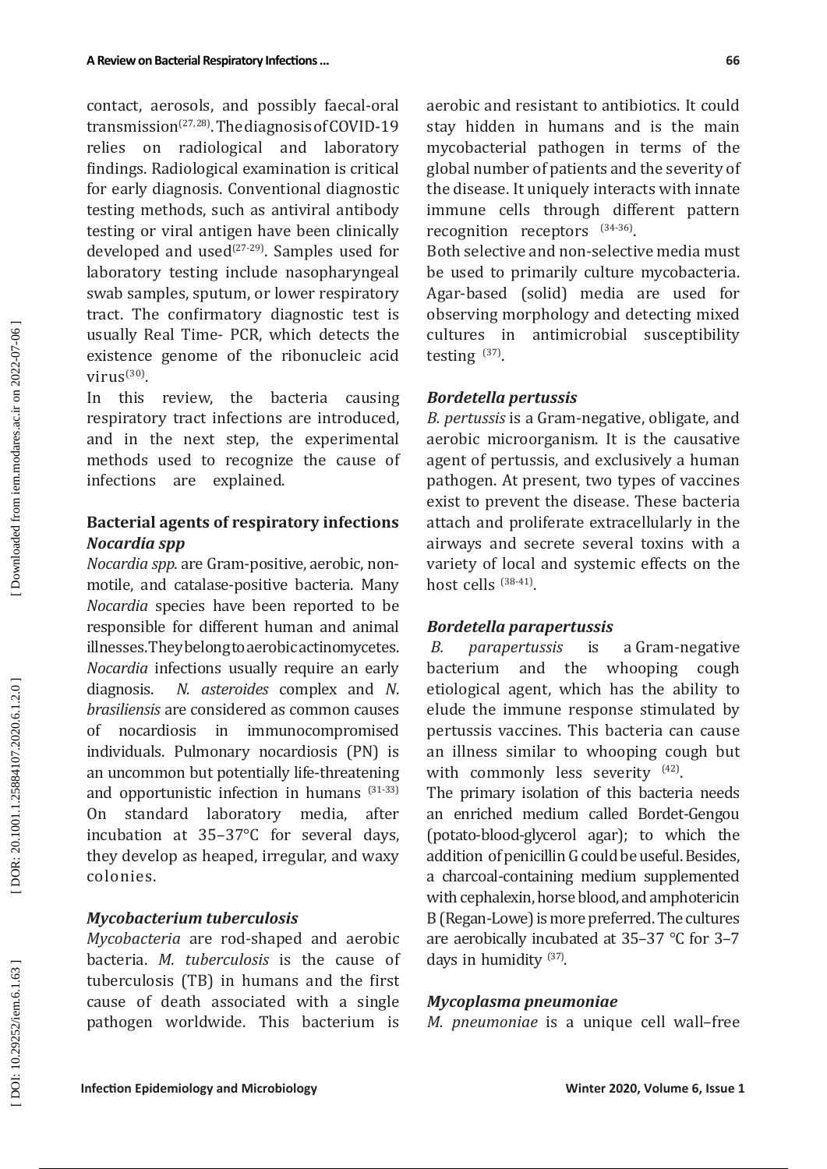contact, aerosols, and possibly faecal-oral transmission<sup> $(27, 28)$ </sup>. The diagnosis of COVID-19 relies on radiological and laboratory findings. Radiological examination is critical for early diagnosis. Conventional diagnostic testing methods, such as antiviral antibody testing or viral antigen have been clinically developed and used $(27-29)$ . Samples used for laboratory testing include nasopharyngeal swab samples, sputum, or lower respiratory tract. The confirmatory diagnostic test is usually Real Time- PCR, which detects the existence genome of the ribonucleic acid virus<sup>(30)</sup>.

In this review, the bacteria causing respiratory tract infections are introduced, and in the next step, the experimental methods used to recognize the cause of infections are explained.

# **Bacterial agents of respiratory infections** *Nocardia spp*

*Nocardia spp.* are Gram-positive, aerobic, nonmotile, and catalase-positive bacteria. Many *Nocardia* species have been reported to be responsible for different human and animal illnesses. They belong to aerobic actinomycetes. *Nocardia* infections usually require an early diagnosis. *N. asteroides* complex and *N*. *brasiliensis* are considered as common causes of nocardiosis in immunocompromised individuals. Pulmonary nocardiosis (PN) is an uncommon but potentially life-threatening and opportunistic infection in humans (31-33) On standard laboratory media, after incubation at 35–37°C for several days, they develop as heaped, irregular, and waxy colonies.

#### *Mycobacterium tuberculosis*

*Mycobacteria* are rod-shaped and aerobic bacteria. *M. tuberculosis* is the cause of tuberculosis (TB) in humans and the first cause of death associated with a single pathogen worldwide. This bacterium is aerobic and resistant to antibiotics. It could stay hidden in humans and is the main mycobacterial pathogen in terms of the global number of patients and the severity of the disease. It uniquely interacts with innate immune cells through different pattern recognition receptors  $^{(34-36)}$ .

Both selective and non-selective media must be used to primarily culture mycobacteria. Agar-based (solid) media are used for observing morphology and detecting mixed cultures in antimicrobial susceptibility testing  $(37)$ .

#### *Bordetella pertussis*

*B. pertussis* is a Gram-negative, obligate, and aerobic microorganism. It is the causative agent of pertussis, and exclusively a human pathogen. At present, two types of vaccines exist to prevent the disease. These bacteria attach and proliferate extracellularly in the airways and secrete several toxins with a variety of local and systemic effects on the host cells  $(38-41)$ .

#### *Bordetella parapertussis*

*B. parapertussis* is a Gram-negative bacterium and the etiological agent, which has the ability to elude the immune response stimulated by pertussis vaccines. This bacteria can cause an illness similar to whooping cough but with commonly less severity <sup>(42)</sup>.

The primary isolation of this bacteria needs an enriched medium called Bordet-Gengou (potato-blood-glycerol agar); to which the addition of penicillin G could be useful. Besides, a charcoal-containing medium supplemented with cephalexin, horse blood, and amphotericin B (Regan-Lowe) is more preferred. The cultures are aerobically incubated at 35–37 °C for 3–7 days in humidity  $(37)$ .

#### *Mycoplasma pneumoniae*

*M. pneumoniae* is a unique cell wall–free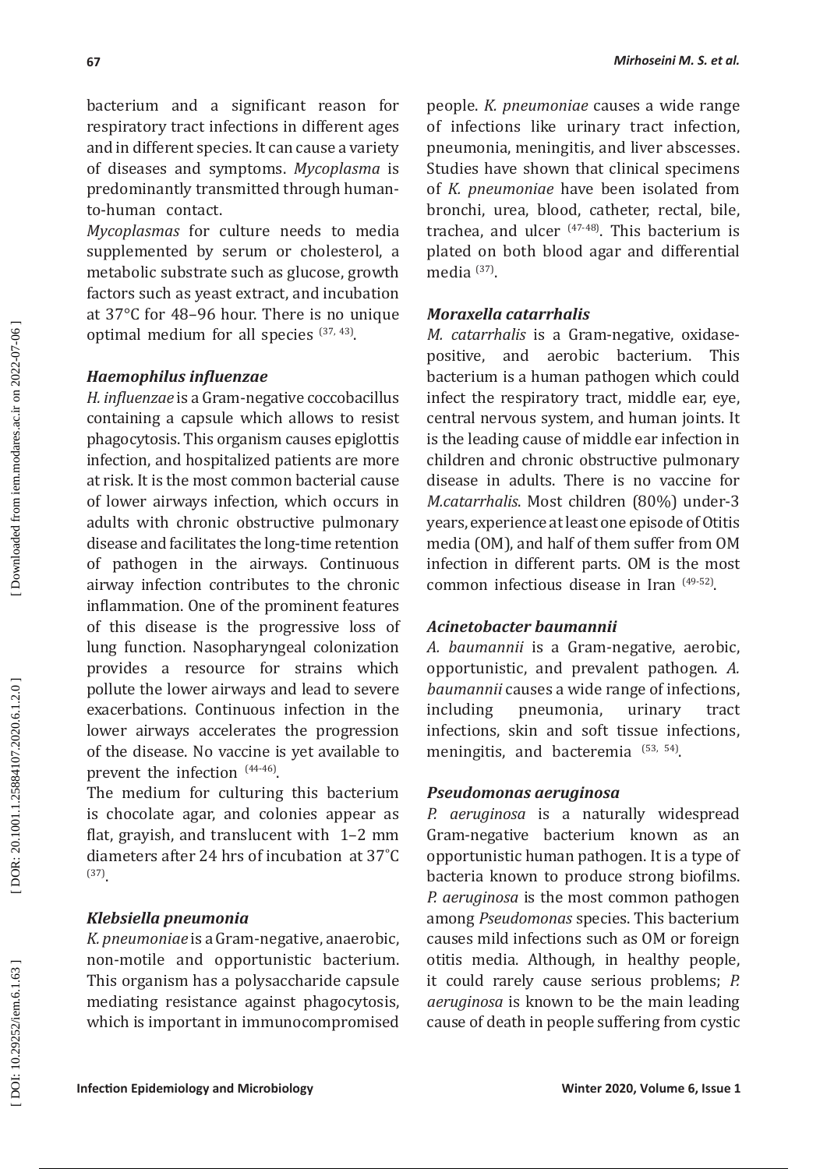bacterium and a significant reason for respiratory tract infections in different ages and in different species. It can cause a variety of diseases and symptoms. *Mycoplasma* is predominantly transmitted through humanto-human contact.

*Mycoplasmas* for culture needs to media supplemented by serum or cholesterol, a metabolic substrate such as glucose, growth factors such as yeast extract, and incubation at 37°C for 48–96 hour. There is no unique optimal medium for all species  $(37, 43)$ .

### *Haemophilus influenzae*

*H. influenzae* is a Gram-negative coccobacillus containing a capsule which allows to resist phagocytosis. This organism causes epiglottis infection, and hospitalized patients are more at risk. It is the most common bacterial cause of lower airways infection, which occurs in adults with chronic obstructive pulmonary disease and facilitates the long-time retention of pathogen in the airways. Continuous airway infection contributes to the chronic inflammation. One of the prominent features of this disease is the progressive loss of lung function. Nasopharyngeal colonization provides a resource for strains which pollute the lower airways and lead to severe exacerbations. Continuous infection in the lower airways accelerates the progression of the disease. No vaccine is yet available to prevent the infection  $(44-46)$ .

The medium for culturing this bacterium is chocolate agar, and colonies appear as flat, grayish, and translucent with 1–2 mm diameters after 24 hrs of incubation at 37˚C (37).

#### *Klebsiella pneumonia*

*K. pneumoniae* is a Gram-negative, anaerobic, non-motile and opportunistic bacterium. This organism has a polysaccharide capsule mediating resistance against phagocytosis, which is important in immunocompromised people. *K. pneumoniae* causes a wide range of infections like urinary tract infection, pneumonia, meningitis, and liver abscesses. Studies have shown that clinical specimens of *K. pneumoniae* have been isolated from bronchi, urea, blood, catheter, rectal, bile, trachea, and ulcer (47-48). This bacterium is plated on both blood agar and differential media  $(37)$ .

#### *Moraxella catarrhalis*

*M. catarrhalis* is a Gram-negative, oxidasepositive, and aerobic bacterium. This bacterium is a human pathogen which could infect the respiratory tract, middle ear, eye, central nervous system, and human joints. It is the leading cause of middle ear infection in children and chronic obstructive pulmonary disease in adults. There is no vaccine for *M.catarrhalis*. Most children (80%) under-3 years, experience at least one episode of Otitis media (OM), and half of them suffer from OM infection in different parts. OM is the most common infectious disease in Iran (49-52) .

### *Acinetobacter baumannii*

*A. baumannii* is a Gram-negative, aerobic, opportunistic, and prevalent pathogen. *A. baumannii* causes a wide range of infections, including pneumonia, urinary tract infections, skin and soft tissue infections, meningitis, and bacteremia  $(53, 54)$ .

#### *Pseudomonas aeruginosa*

*P. aeruginosa* is a naturally widespread Gram-negative bacterium known as an opportunistic human pathogen. It is a type of bacteria known to produce strong biofilms. *P. aeruginosa* is the most common pathogen among *Pseudomonas* species. This bacterium causes mild infections such as OM or foreign otitis media. Although, in healthy people, it could rarely cause serious problems; *P. aeruginosa* is known to be the main leading cause of death in people suffering from cystic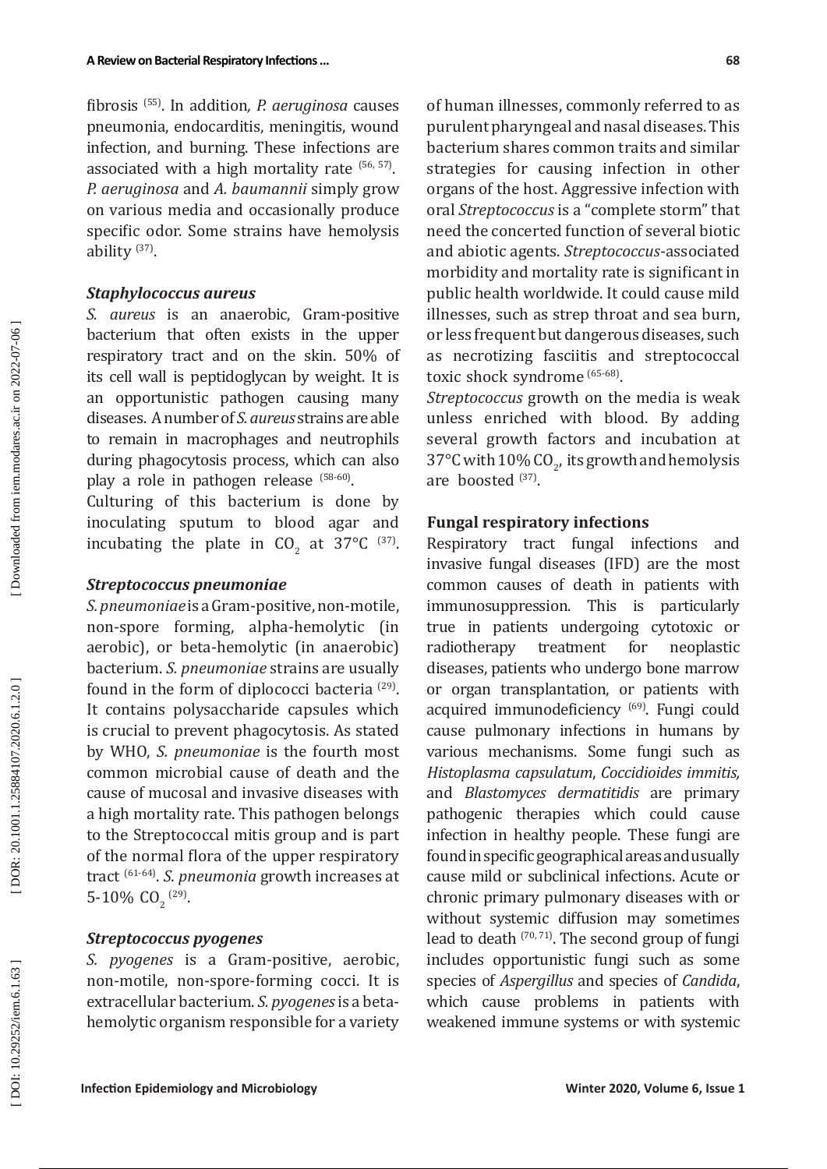fibrosis (55). In addition*, P. aeruginosa* causes pneumonia, endocarditis, meningitis, wound infection, and burning. These infections are associated with a high mortality rate  $(56, 57)$ . *P. aeruginosa* and *A. baumannii* simply grow on various media and occasionally produce specific odor. Some strains have hemolysis ability  $^{(37)}$ .

#### *Staphylococcus aureus*

*S. aureus* is an anaerobic, Gram-positive bacterium that often exists in the upper respiratory tract and on the skin. 50% of its cell wall is peptidoglycan by weight. It is an opportunistic pathogen causing many diseases. A number of *S. aureus* strains are able to remain in macrophages and neutrophils during phagocytosis process, which can also play a role in pathogen release <sup>(58-60)</sup>.

Culturing of this bacterium is done by inoculating sputum to blood agar and incubating the plate in  $CO_2$  at 37°C  $^{(37)}$ .

#### *Streptococcus pneumoniae*

*S. pneumoniae* is a Gram-positive, non-motile, non-spore forming, alpha-hemolytic (in aerobic), or beta-hemolytic (in anaerobic) bacterium. *S. pneumoniae* strains are usually found in the form of diplococci bacteria (29) . It contains polysaccharide capsules which is crucial to prevent phagocytosis . As stated by WHO, *S. pneumoniae* is the fourth most common microbial cause of death and the cause of mucosal and invasive diseases with a high mortality rate. This pathogen belongs to the Streptococcal mitis group and is part of the normal flora of the upper respiratory tract (61-64). *S. pneumonia* growth increases at 5-10%  $CO_2$ <sup>(29)</sup>.

### *Streptococcus pyogenes*

*S. pyogenes* is a Gram-positive, aerobic, non-motile, non-spore-forming cocci. It is extracellular bacterium. *S. pyogenes* is a betahemolytic organism responsible for a variety of human illnesses, commonly referred to as purulent pharyngeal and nasal diseases. This bacterium shares common traits and similar strategies for causing infection in other organs of the host. Aggressive infection with oral *Streptococcus* is a "complete storm" that need the concerted function of several biotic and abiotic agents. *Streptococcus*-associated morbidity and mortality rate is significant in public health worldwide. It could cause mild illnesses, such as strep throat and sea burn, or less frequent but dangerous diseases, such as necrotizing fasciitis and streptococcal toxic shock syndrome (65-68) .

*Streptococcus* growth on the media is weak unless enriched with blood. By adding several growth factors and incubation at  $37^{\circ}$ C with  $10\%$  CO<sub>2</sub>, its growth and hemolysis are boosted  $(37)$ .

### **Fungal respiratory infections**

Respiratory tract fungal infections and invasive fungal diseases (IFD) are the most common causes of death in patients with immunosuppression. This is particularly true in patients undergoing cytotoxic or<br>radiotherany treatment for neoplastic treatment diseases, patients who undergo bone marrow or organ transplantation, or patients with acquired immunodeficiency <sup>(69)</sup>. Fungi could cause pulmonary infections in humans by various mechanisms. Some fungi such as *Histoplasma capsulatum*, *Coccidioides immitis,* and *Blastomyces dermatitidis* are primary pathogenic therapies which could cause infection in healthy people. These fungi are found in specific geographical areas and usually cause mild or subclinical infections. Acute or chronic primary pulmonary diseases with or without systemic diffusion may sometimes lead to death  $(70, 71)$ . The second group of fungi includes opportunistic fungi such as some species of *Aspergillus* and species of *Candida*, which cause problems in patients with weakened immune systems or with systemic

Downloaded from iem.modares.ac.ir on 2022-07-06

DOR: 20.1001.1.25884107.2020.6.1.2.0]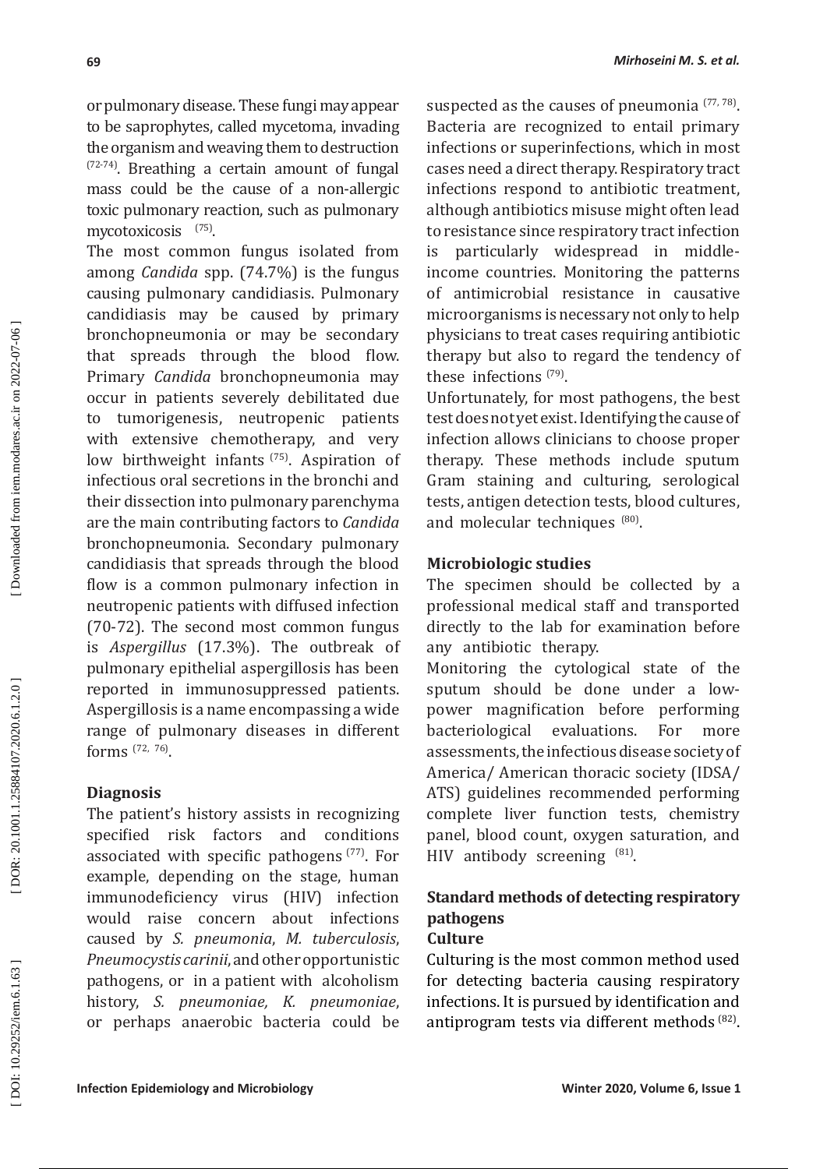or pulmonary disease. These fungi may appear to be saprophytes, called mycetoma, invading the organism and weaving them to destruction  $(72-74)$ . Breathing a certain amount of fungal mass could be the cause of a non-allergic toxic pulmonary reaction, such as pulmonary mycotoxicosis (75).

The most common fungus isolated from among *Candida* spp. (74.7%) is the fungus causing pulmonary candidiasis. Pulmonary candidiasis may be caused by primary bronchopneumonia or may be secondary that spreads through the blood flow. Primary *Candida* bronchopneumonia may occur in patients severely debilitated due<br>to tumorigenesis, neutropenic patients tumorigenesis, neutropenic patients with extensive chemotherapy, and very low birthweight infants <sup>(75)</sup>. Aspiration of infectious oral secretions in the bronchi and their dissection into pulmonary parenchyma are the main contributing factors to *Candida* bronchopneumonia. Secondary pulmonary candidiasis that spreads through the blood flow is a common pulmonary infection in neutropenic patients with diffused infection (70-72). The second most common fungus is *Aspergillus* (17.3%). The outbreak of pulmonary epithelial aspergillosis has been reported in immunosuppressed patients. Aspergillosis is a name encompassing a wide range of pulmonary diseases in different forms (72, 76).

# **Diagnosis**

The patient's history assists in recognizing specified risk factors and conditions associated with specific pathogens  $(77)$ . For example, depending on the stage, human immunodeficiency virus (HIV) infection would raise concern about infections caused by *S. pneumonia*, *M. tuberculosis*, *Pneumocystis carinii*, and other opportunistic pathogens, or in a patient with alcoholism history, *S. pneumoniae, K. pneumoniae*, or perhaps anaerobic bacteria could be suspected as the causes of pneumonia  $(77, 78)$ . Bacteria are recognized to entail primary infections or superinfections, which in most cases need a direct therapy. Respiratory tract infections respond to antibiotic treatment, although antibiotics misuse might often lead to resistance since respiratory tract infection is particularly widespread in middleincome countries. Monitoring the patterns of antimicrobial resistance in causative microorganisms is necessary not only to help physicians to treat cases requiring antibiotic therapy but also to regard the tendency of these infections  $(79)$ .

Unfortunately, for most pathogens, the best test does not yet exist. Identifying the cause of infection allows clinicians to choose proper therapy. These methods include sputum Gram staining and culturing, serological tests, antigen detection tests, blood cultures, and molecular techniques (80).

# **Microbiologic studies**

The specimen should be collected by a professional medical staff and transported directly to the lab for examination before any antibiotic therapy.

Monitoring the cytological state of the sputum should be done under a lowpower magnification before performing<br>bacteriological evaluations. For more bacteriological evaluations. For assessments, the infectious disease society of America/ American thoracic society (IDSA/ ATS) guidelines recommended performing complete liver function tests, chemistry panel, blood count, oxygen saturation, and HIV antibody screening  $^{(81)}$ .

# **Standard methods of detecting respiratory pathogens Culture**

Culturing is the most common method used for detecting bacteria causing respiratory infections. It is pursued by identification and antiprogram tests via different methods (82).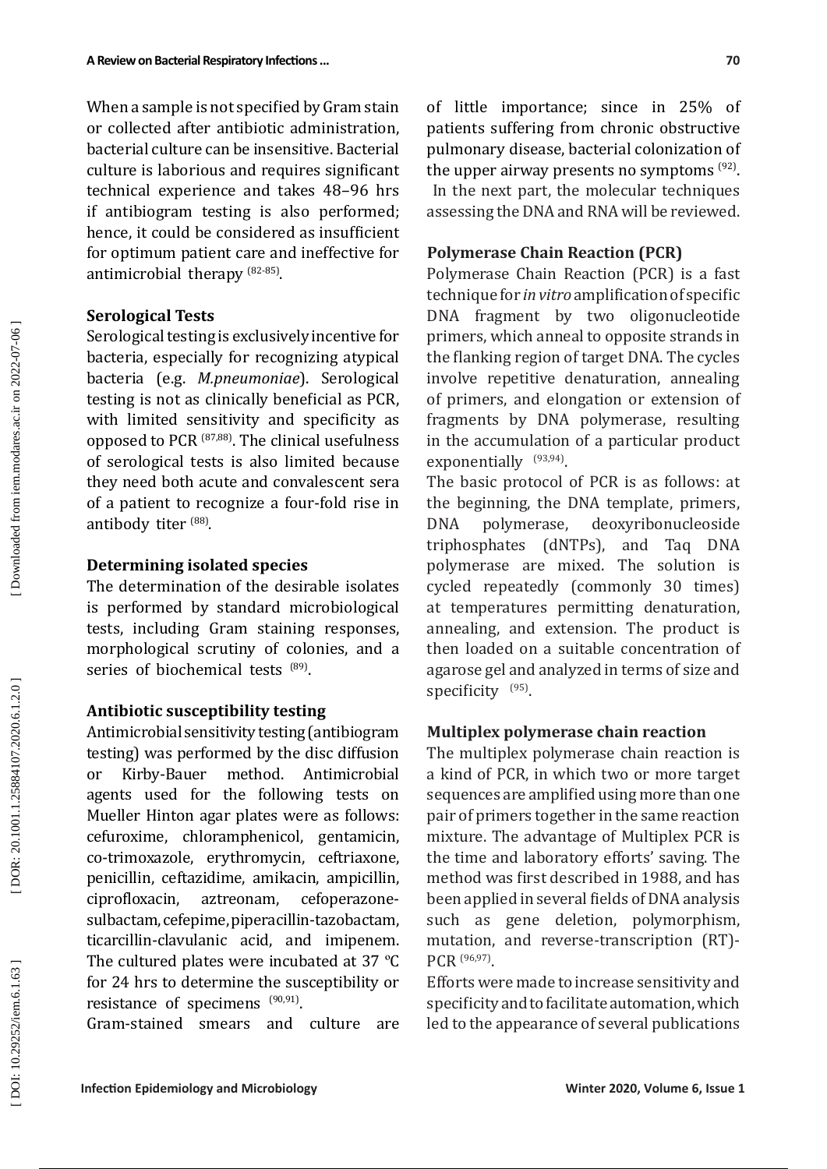When a sample is not specified by Gram stain or collected after antibiotic administration, bacterial culture can be insensitive. Bacterial culture is laborious and requires significant technical experience and takes 48–96 hrs if antibiogram testing is also performed; hence, it could be considered as insufficient for optimum patient care and ineffective for antimicrobial therapy (82-85).

#### **Serological Tests**

Serological testing is exclusively incentive for bacteria, especially for recognizing atypical bacteria (e.g. *M.pneumoniae*). Serological testing is not as clinically beneficial as PCR, with limited sensitivity and specificity as opposed to PCR (87,88). The clinical usefulness of serological tests is also limited because they need both acute and convalescent sera of a patient to recognize a four-fold rise in antibody titer (88).

### **Determining isolated species**

The determination of the desirable isolates is performed by standard microbiological tests, including Gram staining responses, morphological scrutiny of colonies, and a series of biochemical tests (89).

#### **Antibiotic susceptibility testing**

Antimicrobial sensitivity testing (antibiogram testing) was performed by the disc diffusion or Kirby-Bauer method. Antimicrobial agents used for the following tests on Mueller Hinton agar plates were as follows: cefuroxime, chloramphenicol, gentamicin, co-trimoxazole, erythromycin, ceftriaxone, penicillin, ceftazidime, amikacin, ampicillin, ciprofloxacin, aztreonam, cefoperazonesulbactam, cefepime, piperacillin-tazobactam, ticarcillin-clavulanic acid, and imipenem. The cultured plates were incubated at 37 °C for 24 hrs to determine the susceptibility or resistance of specimens  $(90,91)$ .

Gram-stained smears and culture are

of little importance; since in 25% of patients suffering from chronic obstructive pulmonary disease, bacterial colonization of the upper airway presents no symptoms <sup>(92)</sup>. In the next part, the molecular techniques assessing the DNA and RNA will be reviewed.

### **Polymerase Chain Reaction (PCR)**

Polymerase Chain Reaction (PCR) is a fast technique for *in vitro* amplification of specific DNA fragment by two oligonucleotide primers, which anneal to opposite strands in the flanking region of target DNA. The cycles involve repetitive denaturation, annealing of primers, and elongation or extension of fragments by DNA polymerase, resulting in the accumulation of a particular product exponentially <sup>(93,94)</sup>.

The basic protocol of PCR is as follows: at the beginning, the DNA template, primers, DNA polymerase, deoxyribonucleoside triphosphates (dNTPs), and Taq DNA polymerase are mixed. The solution is cycled repeatedly (commonly 30 times) at temperatures permitting denaturation, annealing, and extension. The product is then loaded on a suitable concentration of agarose gel and analyzed in terms of size and specificity <sup>(95)</sup>.

#### **Multiplex polymerase chain reaction**

The multiplex polymerase chain reaction is a kind of PCR, in which two or more target sequences are amplified using more than one pair of primers together in the same reaction mixture. The advantage of Multiplex PCR is the time and laboratory efforts' saving. The method was first described in 1988, and has been applied in several fields of DNA analysis such as gene deletion, polymorphism, mutation, and reverse-transcription (RT)- PCR (96,97) .

Efforts were made to increase sensitivity and specificity and to facilitate automation, which led to the appearance of several publications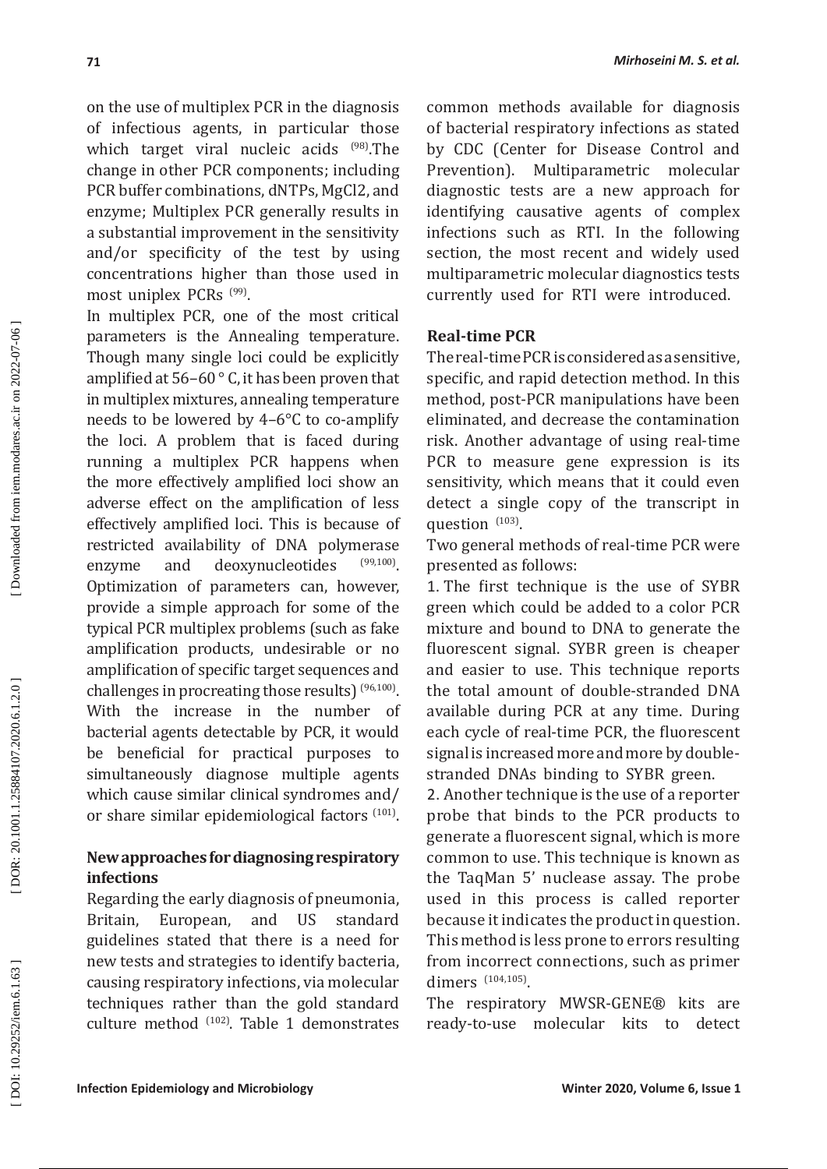on the use of multiplex PCR in the diagnosis of infectious agents, in particular those which target viral nucleic acids <sup>(98)</sup>.The change in other PCR components; including PCR buffer combinations, dNTPs, MgCl2, and enzyme; Multiplex PCR generally results in a substantial improvement in the sensitivity and/or specificity of the test by using concentrations higher than those used in most uniplex PCRs <sup>(99)</sup>.

In multiplex PCR, one of the most critical parameters is the Annealing temperature. Though many single loci could be explicitly amplified at 56–60 ° C, it has been proven that in multiplex mixtures, annealing temperature needs to be lowered by 4–6°C to co-amplify the loci. A problem that is faced during running a multiplex PCR happens when the more effectively amplified loci show an adverse effect on the amplification of less effectively amplified loci. This is because of restricted availability of DNA polymerase<br>enzyme and deoxynucleotides (99,100) enzyme and deoxynucleotides Optimization of parameters can, however, provide a simple approach for some of the typical PCR multiplex problems (such as fake amplification products, undesirable or no amplification of specific target sequences and challenges in procreating those results)  $(96,100)$ . With the increase in the number of bacterial agents detectable by PCR, it would be beneficial for practical purposes to simultaneously diagnose multiple agents which cause similar clinical syndromes and/ or share similar epidemiological factors <sup>(101)</sup>.

# **New approaches for diagnosing respiratory infections**

Regarding the early diagnosis of pneumonia, Britain, European, and US standard guidelines stated that there is a need for new tests and strategies to identify bacteria, causing respiratory infections, via molecular techniques rather than the gold standard culture method <sup>(102)</sup>. Table 1 demonstrates common methods available for diagnosis of bacterial respiratory infections as stated by CDC (Center for Disease Control and Prevention). Multiparametric molecular diagnostic tests are a new approach for identifying causative agents of complex infections such as RTI . In the following section, the most recent and widely used multiparametric molecular diagnostics tests currently used for RTI were introduced.

### **Real-time PCR**

The real-time PCR is considered as a sensitive, specific, and rapid detection method. In this method, post-PCR manipulations have been eliminated, and decrease the contamination risk. Another advantage of using real-time PCR to measure gene expression is its sensitivity, which means that it could even detect a single copy of the transcript in question  $(103)$ .

Two general methods of real-time PCR were presented as follows:

1. The first technique is the use of SYBR green which could be added to a color PCR mixture and bound to DNA to generate the fluorescent signal. SYBR green is cheaper and easier to use. This technique reports the total amount of double-stranded DNA available during PCR at any time. During each cycle of real-time PCR, the fluorescent signal is increased more and more by doublestranded DNAs binding to SYBR green.

2. Another technique is the use of a reporter probe that binds to the PCR products to generate a fluorescent signal, which is more common to use. This technique is known as the TaqMan 5' nuclease assay. The probe used in this process is called reporter because it indicates the product in question. This method is less prone to errors resulting from incorrect connections, such as primer dimers <sup>(104,105)</sup>.

The respiratory MWSR-GENE® kits are ready-to-use molecular kits to detect

DOR: 20.1001.1.25884107.2020.6.1.2.0]

Downloaded from iem.modares.ac.ir on 2022-07-06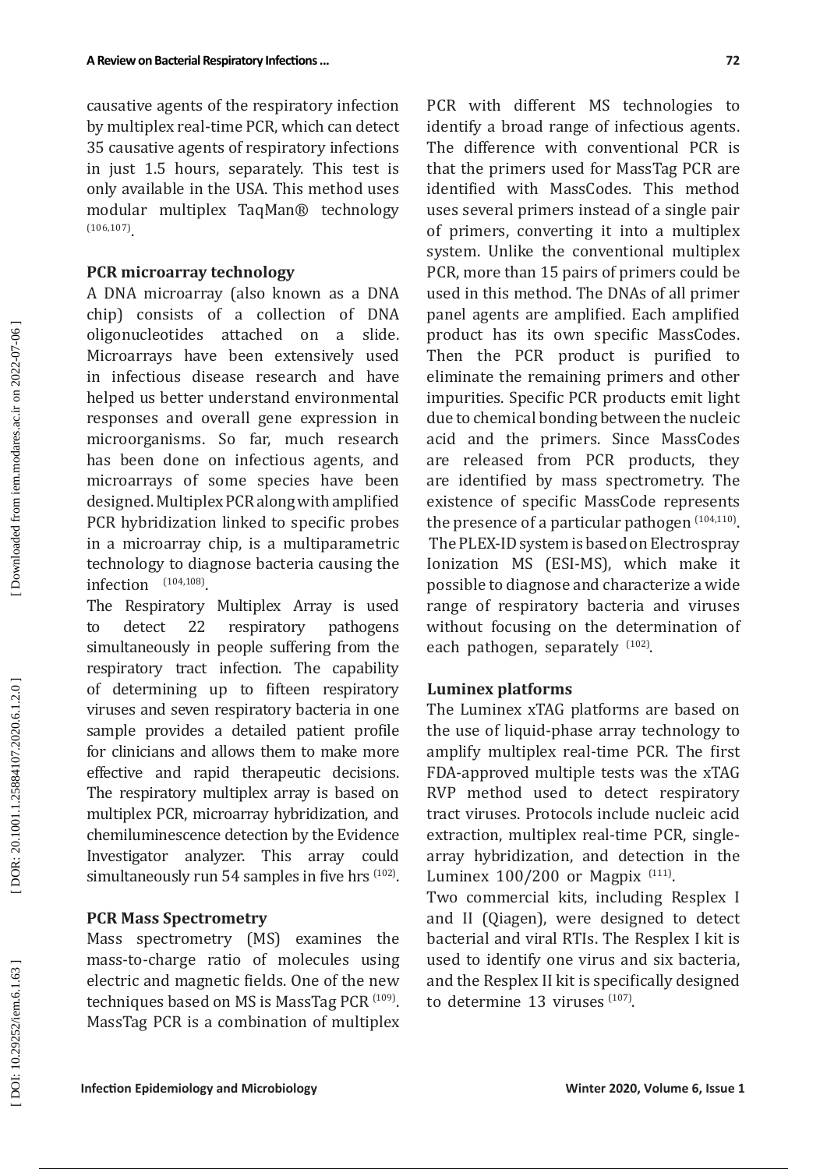causative agents of the respiratory infection by multiplex real-time PCR, which can detect 35 causative agents of respiratory infections in just 1.5 hours, separately. This test is only available in the USA. This method uses modular multiplex TaqMan® technology  $(106, 107)$ <sub>.</sub>

#### **PCR microarray technology**

A DNA microarray (also known as a DNA chip) consists of a collection of DNA oligonucleotides attached on a slide. Microarrays have been extensively used in infectious disease research and have helped us better understand environmental responses and overall gene expression in microorganisms. So far, much research has been done on infectious agents, and microarrays of some species have been designed. Multiplex PCR along with amplified PCR hybridization linked to specific probes in a microarray chip, is a multiparametric technology to diagnose bacteria causing the infection  $^{(104,108)}$ .

The Respiratory Multiplex Array is used to detect 22 respiratory pathogens simultaneously in people suffering from the respiratory tract infection. The capability of determining up to fifteen respiratory viruses and seven respiratory bacteria in one sample provides a detailed patient profile for clinicians and allows them to make more effective and rapid therapeutic decisions. The respiratory multiplex array is based on multiplex PCR, microarray hybridization, and chemiluminescence detection by the Evidence Investigator analyzer. This array could  $simultaneously run 54 samples in five hrs  $(102)$ .$ 

#### **PCR Mass Spectrometry**

Mass spectrometry (MS) examines the mass-to-charge ratio of molecules using electric and magnetic fields. One of the new techniques based on MS is MassTag PCR  $^{(109)}$ . MassTag PCR is a combination of multiplex

PCR with different MS technologies to identify a broad range of infectious agents. The difference with conventional PCR is that the primers used for MassTag PCR are identified with MassCodes. This method uses several primers instead of a single pair of primers, converting it into a multiplex system. Unlike the conventional multiplex PCR, more than 15 pairs of primers could be used in this method. The DNAs of all primer panel agents are amplified. Each amplified product has its own specific MassCodes. Then the PCR product is purified to eliminate the remaining primers and other impurities. Specific PCR products emit light due to chemical bonding between the nucleic acid and the primers. Since MassCodes are released from PCR products, they are identified by mass spectrometry. The existence of specific MassCode represents the presence of a particular pathogen  $(104, 110)$ . The PLEX-ID system is based on Electrospray Ionization MS (ESI-MS), which make it possible to diagnose and characterize a wide range of respiratory bacteria and viruses without focusing on the determination of each pathogen, separately <sup>(102)</sup>.

#### **Luminex platforms**

The Luminex xTAG platforms are based on the use of liquid-phase array technology to amplify multiplex real-time PCR. The first FDA-approved multiple tests was the xTAG RVP method used to detect respiratory tract viruses. Protocols include nucleic acid extraction, multiplex real-time PCR, singlearray hybridization, and detection in the Luminex  $100/200$  or Magpix  $^{(111)}$ .

Two commercial kits, including Resplex I and II (Qiagen), were designed to detect bacterial and viral RTIs. The Resplex I kit is used to identify one virus and six bacteria, and the Resplex II kit is specifically designed to determine  $13$  viruses  $(107)$ .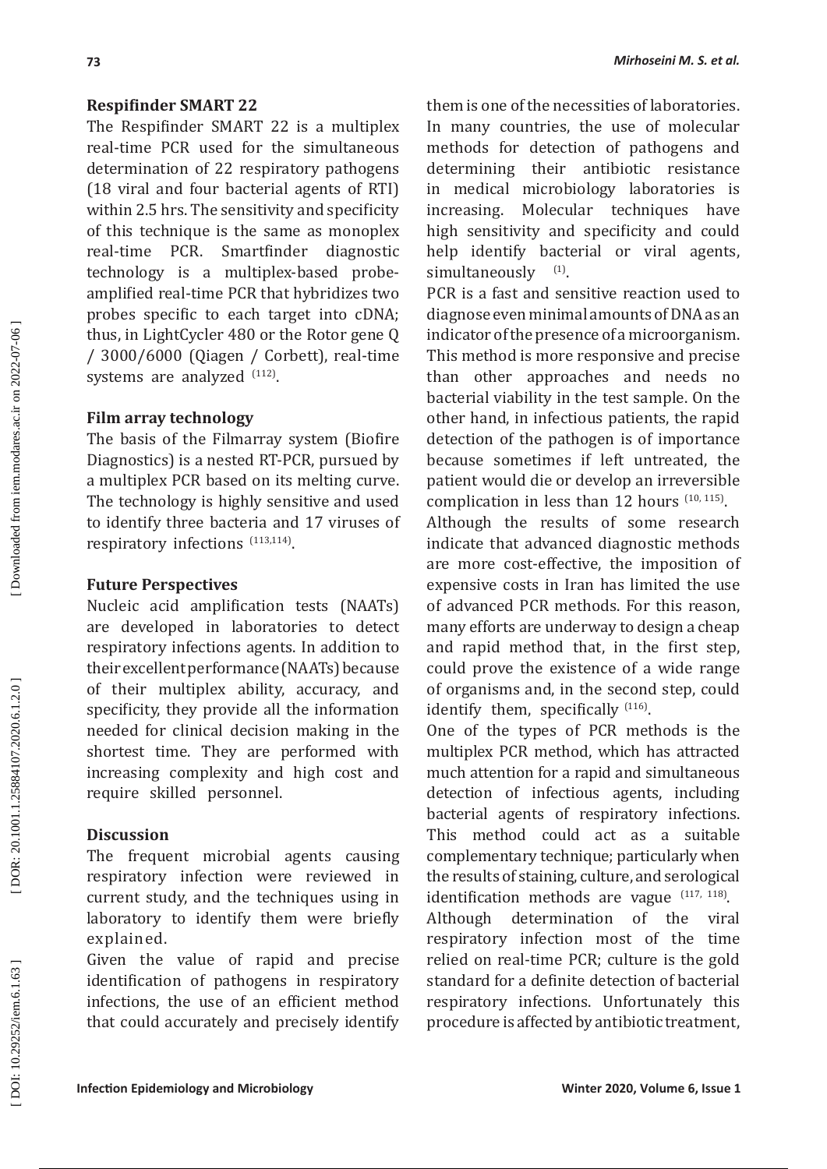### **Respifinder SMART 22**

The Respifinder SMART 22 is a multiplex real-time PCR used for the simultaneous determination of 22 respiratory pathogens (18 viral and four bacterial agents of RTI) within 2.5 hrs. The sensitivity and specificity of this technique is the same as monoplex real-time PCR. Smartfinder diagnostic technology is a multiplex-based probeamplified real-time PCR that hybridizes two probes specific to each target into cDNA; thus, in LightCycler 480 or the Rotor gene Q / 3000/6000 (Qiagen / Corbett), real-time systems are analyzed  $^{(112)}$ .

# **Film array technology**

The basis of the Filmarray system (Biofire Diagnostics) is a nested RT-PCR, pursued by a multiplex PCR based on its melting curve. The technology is highly sensitive and used to identify three bacteria and 17 viruses of respiratory infections (113,114) .

# **Future Perspectives**

Nucleic acid amplification tests (NAATs) are developed in laboratories to detect respiratory infections agents. In addition to their excellent performance (NAATs) because of their multiplex ability, accuracy, and specificity, they provide all the information needed for clinical decision making in the shortest time. They are performed with increasing complexity and high cost and require skilled personnel.

# **Discussion**

The frequent microbial agents causing respiratory infection were reviewed in current study, and the techniques using in laboratory to identify them were briefly explained.

Given the value of rapid and precise identification of pathogens in respiratory infections, the use of an efficient method that could accurately and precisely identify them is one of the necessities of laboratories. In many countries, the use of molecular methods for detection of pathogens and determining their antibiotic resistance in medical microbiology laboratories is increasing. Molecular techniques have high sensitivity and specificity and could help identify bacterial or viral agents, simultaneously <sup>(1)</sup>.

PCR is a fast and sensitive reaction used to diagnose even minimal amounts of DNA as an indicator of the presence of a microorganism. This method is more responsive and precise than other approaches and needs no bacterial viability in the test sample. On the other hand, in infectious patients, the rapid detection of the pathogen is of importance because sometimes if left untreated, the patient would die or develop an irreversible complication in less than 12 hours  $(10, 115)$ .

Although the results of some research indicate that advanced diagnostic methods are more cost-effective, the imposition of expensive costs in Iran has limited the use of advanced PCR methods. For this reason, many efforts are underway to design a cheap and rapid method that, in the first step, could prove the existence of a wide range of organisms and, in the second step, could identify them, specifically <sup>(116)</sup>.

One of the types of PCR methods is the multiplex PCR method, which has attracted much attention for a rapid and simultaneous detection of infectious agents, including bacterial agents of respiratory infections. This method could act as a suitable complementary technique; particularly when the results of staining, culture, and serological identification methods are vague  $(117, 118)$ .

Although determination of the viral respiratory infection most of the time relied on real-time PCR; culture is the gold standard for a definite detection of bacterial respiratory infections. Unfortunately this procedure is affected by antibiotic treatment,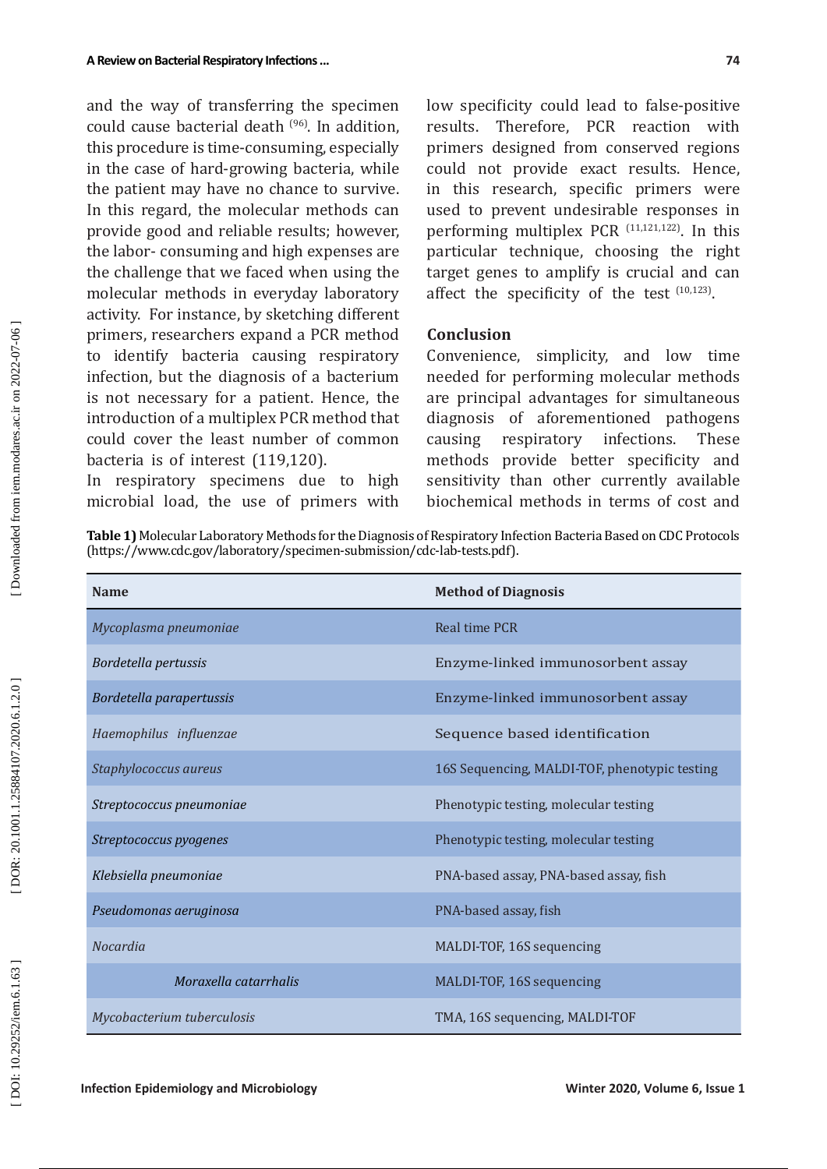and the way of transferring the specimen could cause bacterial death (96). In addition, this procedure is time-consuming, especially in the case of hard-growing bacteria, while the patient may have no chance to survive. In this regard, the molecular methods can provide good and reliable results; however, the labor- consuming and high expenses are the challenge that we faced when using the molecular methods in everyday laboratory activity. For instance, by sketching different primers, researchers expand a PCR method to identify bacteria causing respiratory infection, but the diagnosis of a bacterium is not necessary for a patient. Hence, the introduction of a multiplex PCR method that could cover the least number of common bacteria is of interest (119,120).

In respiratory specimens due to high microbial load, the use of primers with

low specificity could lead to false-positive results. Therefore, PCR reaction with primers designed from conserved regions could not provide exact results. Hence, in this research, specific primers were used to prevent undesirable responses in performing multiplex PCR  $(11,121,122)$ . In this particular technique, choosing the right target genes to amplify is crucial and can affect the specificity of the test  $(10,123)$ .

#### **Conclusion**

Convenience, simplicity, and low time needed for performing molecular methods are principal advantages for simultaneous diagnosis of aforementioned pathogens<br>causing respiratory infections. These causing respiratory infections. These methods provide better specificity and sensitivity than other currently available biochemical methods in terms of cost and

**Table 1)** Molecular Laboratory Methods for the Diagnosis of Respiratory Infection Bacteria Based on CDC Protocols (https://www.cdc.gov/laboratory/specimen-submission/cdc-lab-tests.pdf).

| <b>Name</b>                | <b>Method of Diagnosis</b>                    |
|----------------------------|-----------------------------------------------|
| Mycoplasma pneumoniae      | Real time PCR                                 |
| Bordetella pertussis       | Enzyme-linked immunosorbent assay             |
| Bordetella parapertussis   | Enzyme-linked immunosorbent assay             |
| Haemophilus influenzae     | Sequence based identification                 |
| Staphylococcus aureus      | 16S Sequencing, MALDI-TOF, phenotypic testing |
| Streptococcus pneumoniae   | Phenotypic testing, molecular testing         |
| Streptococcus pyogenes     | Phenotypic testing, molecular testing         |
| Klebsiella pneumoniae      | PNA-based assay, PNA-based assay, fish        |
| Pseudomonas aeruginosa     | PNA-based assay, fish                         |
| <b>Nocardia</b>            | MALDI-TOF, 16S sequencing                     |
| Moraxella catarrhalis      | MALDI-TOF, 16S sequencing                     |
| Mycobacterium tuberculosis | TMA, 16S sequencing, MALDI-TOF                |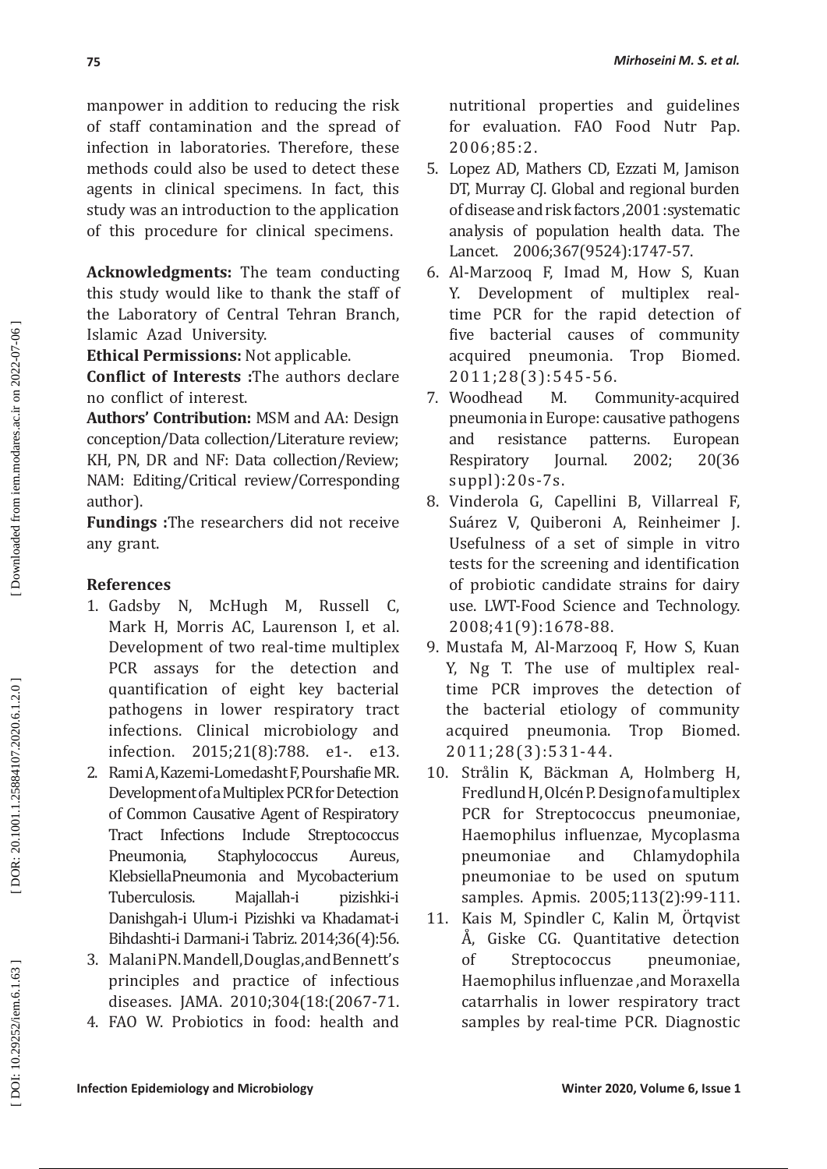manpower in addition to reducing the risk of staff contamination and the spread of infection in laboratories. Therefore, these methods could also be used to detect these agents in clinical specimens. In fact, this study was an introduction to the application of this procedure for clinical specimens.

**Acknowledgments:** The team conducting this study would like to thank the staff of the Laboratory of Central Tehran Branch, Islamic Azad University.

**Ethical Permissions:** Not applicable.

**Conflict of Interests :**The authors declare no conflict of interest .

**Authors' Contribution:** MSM and AA: Design conception/Data collection/Literature review; KH, PN, DR and NF: Data collection/Review; NAM: Editing/Critical review/Corresponding author).

**Fundings :**The researchers did not receive any grant.

# **References**

- 1. Gadsby N, McHugh M, Russell C, Mark H, Morris AC, Laurenson I, et al. Development of two real-time multiplex PCR assays for the detection and quantification of eight key bacterial pathogens in lower respiratory tract infections. Clinical microbiology and infection. 2015;21(8):788. e1-. e13.
- 2 . Rami A, Kazemi-Lomedasht F, Pourshafie MR. Development of a Multiplex PCR for Detection of Common Causative Agent of Respiratory Tract Infections Include Streptococcus Pneumonia, Staphylococcus Aureus, KlebsiellaPneumonia and Mycobacterium<br>Tuberculosis. Maiallah-i pizishki-i Tuberculosis. Majallah-i pizishki-i Danishgah-i Ulum-i Pizishki va Khadamat-i Bihdashti-i Darmani-i Tabriz. 2014;36(4):56.
- 3 . Malani PN. Mandell, Douglas, and Bennett's principles and practice of infectious diseases. JAMA. 2010;304(18:(2067-71.
- 4 . FAO W. Probiotics in food: health and

nutritional properties and guidelines for evaluation. FAO Food Nutr Pap. 2006;85:2.

- 5 . Lopez AD, Mathers CD, Ezzati M, Jamison DT, Murray CJ. Global and regional burden of disease and risk factors ,2001 :systematic analysis of population health data. The Lancet. 2006;367(9524):1747-57.
- 6 . Al-Marzooq F, Imad M, How S, Kuan Y. Development of multiplex realtime PCR for the rapid detection of five bacterial causes of community<br>acquired pneumonia. Trop Biomed. acquired pneumonia. 2011;28(3):545-56.
- 7. Woodhead M. Community-acquired pneumonia in Europe: causative pathogens and resistance patterns. European Respiratory Journal. 2002; 20(36 suppl):20s-7s.
- 8 . Vinderola G, Capellini B, Villarreal F, Suárez V, Quiberoni A, Reinheimer J. Usefulness of a set of simple in vitro tests for the screening and identification of probiotic candidate strains for dairy use. LWT-Food Science and Technology. 2008;41(9):1678-88.
- 9 . Mustafa M, Al-Marzooq F, How S, Kuan Y, Ng T. The use of multiplex realtime PCR improves the detection of the bacterial etiology of community acquired pneumonia. Trop Biomed. 2011;28(3):531-44.
- 10 . Strålin K, Bäckman A, Holmberg H, Fredlund H, Olcén P. Design of a multiplex PCR for Streptococcus pneumoniae, Haemophilus influenzae, Mycoplasma pneumoniae and Chlamydophila pneumoniae to be used on sputum samples. Apmis. 2005;113(2):99-111.
- 11. Kais M, Spindler C, Kalin M, Ortqvist Å, Giske CG, Quantitative detection of Streptococcus pneumoniae, Haemophilus influenzae ,and Moraxella catarrhalis in lower respiratory tract samples by real-time PCR. Diagnostic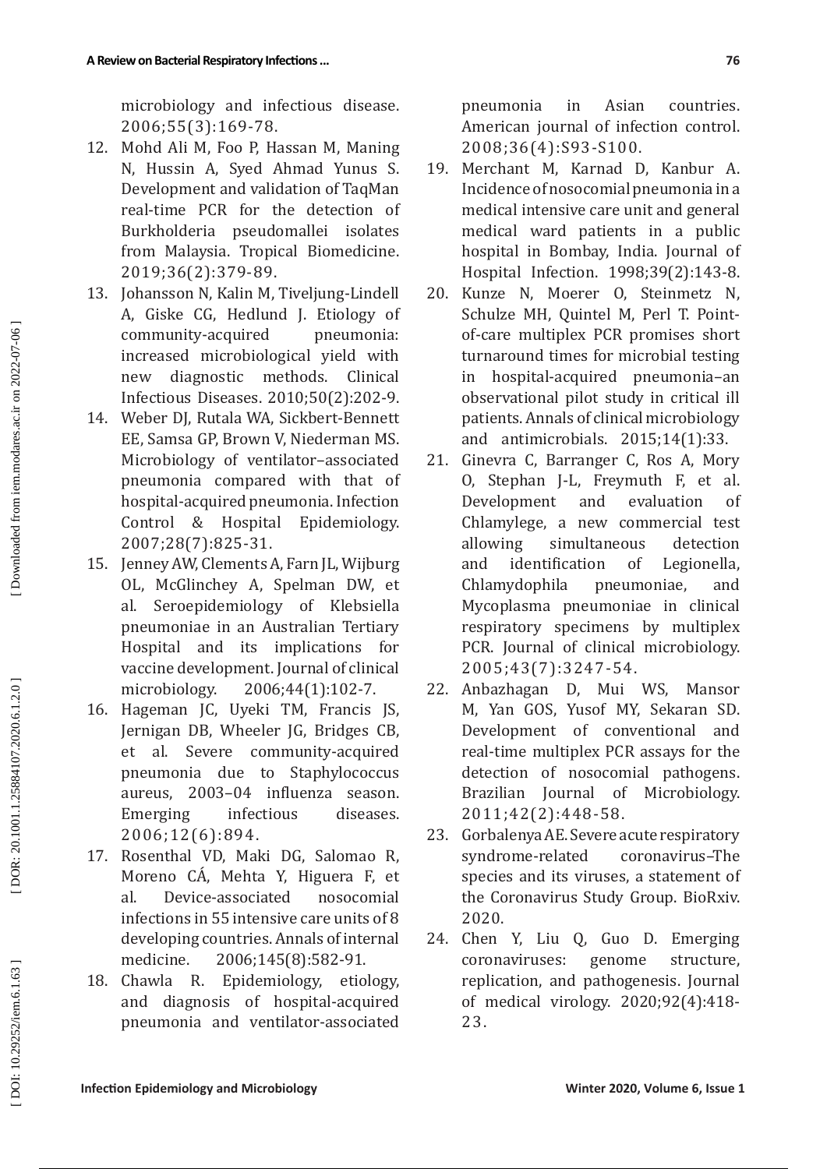microbiology and infectious disease. 2006;55(3):169-78.

- 12 . Mohd Ali M, Foo P, Hassan M, Maning N, Hussin A, Syed Ahmad Yunus S. Development and validation of TaqMan real-time PCR for the detection of Burkholderia pseudomallei isolates from Malaysia. Tropical Biomedicine. 2019;36(2):379-89.
- 13 . Johansson N, Kalin M, Tiveljung-Lindell A, Giske CG, Hedlund J. Etiology of community-acquired pneumonia: increased microbiological yield with new diagnostic methods. Clinical Infectious Diseases. 2010;50(2):202-9.
- 14 . Weber DJ, Rutala WA, Sickbert-Bennett EE, Samsa GP, Brown V, Niederman MS. Microbiology of ventilator–associated pneumonia compared with that of hospital-acquired pneumonia. Infection<br>Control & Hospital Epidemiology. Control & Hospital 2007;28(7):825-31.
- 15 . Jenney AW, Clements A, Farn JL, Wijburg OL, McGlinchey A, Spelman DW, et al. Seroepidemiology of Klebsiella pneumoniae in an Australian Tertiary Hospital and its implications for vaccine development. Journal of clinical microbiology. 2006;44(1):102-7.
- 16 . Hageman JC, Uyeki TM, Francis JS, Jernigan DB, Wheeler JG, Bridges CB, et al. Severe community-acquired pneumonia due to Staphylococcus aureus, 2003–04 influenza season. Emerging infectious diseases. 2006;12(6):894.
- 17 . Rosenthal VD, Maki DG, Salomao R, Moreno CA, Mehta Y, Higuera F, et al. Device-associated nosocomial infections in 55 intensive care units of 8 developing countries. Annals of internal medicine. 2006;145(8):582-91 .
- 18. Chawla R. . Epidemiology, etiology, and diagnosis of hospital-acquired pneumonia and ventilator-associated

pneumonia in Asian countries. American journal of infection control. 2008;36(4):S93-S100.

- 19 . Merchant M, Karnad D, Kanbur A. Incidence ofnosocomial pneumonia in a medical intensive care unit and general medical ward patients in a public hospital in Bombay, India. Journal of Hospital Infection. 1998;39(2):143-8.
- 20 . Kunze N, Moerer O, Steinmetz N, Schulze MH, Quintel M, Perl T. Pointof-care multiplex PCR promises short turnaround times for microbial testing in hospital-acquired pneumonia–an observational pilot study in critical ill patients. Annals of clinical microbiology and antimicrobials. 2015;14(1):33.
- 21 . Ginevra C, Barranger C, Ros A, Mory O, Stephan J-L, Freymuth F, et al. Development and evaluation of Chlamylege, a new commercial test<br>allowing simultaneous detection simultaneous detection and identification of Legionella, Chlamydophila pneumoniae, and Mycoplasma pneumoniae in clinical respiratory specimens by multiplex PCR. Journal of clinical microbiology. 2005;43(7):3247-54.
- 22 . Anbazhagan D, Mui WS, Mansor M, Yan GOS, Yusof MY, Sekaran SD. Development of conventional and real-time multiplex PCR assays for the detection of nosocomial pathogens. Brazilian Journal of Microbiology. 2011;42(2):448-58.
- 23 . Gorbalenya AE. Severe acute respiratory syndrome-related coronavirus–The species and its viruses, a statement of the Coronavirus Study Group. BioRxiv. 2020.
- 24 . Chen Y, Liu Q, Guo D. Emerging coronaviruses: genome structure, replication, and pathogenesis. Journal of medical virology. 2020;92(4):418- 23.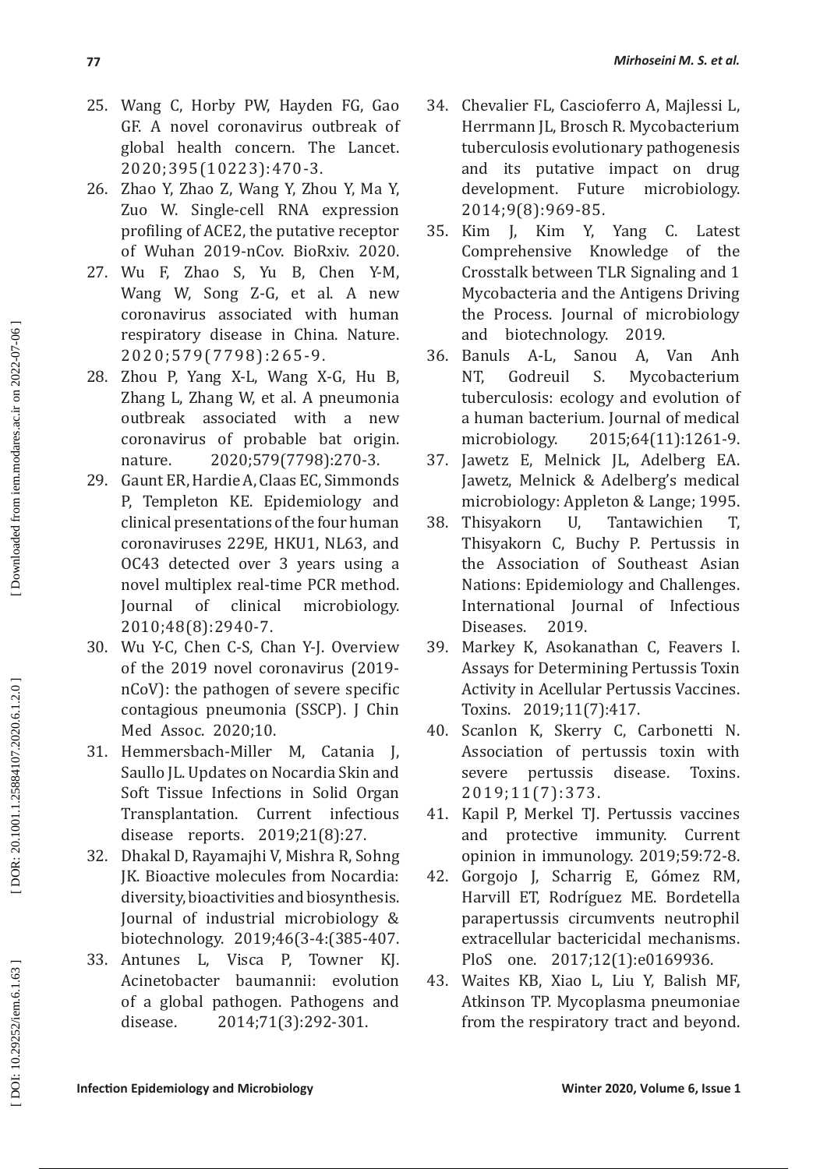- 25 . Wang C, Horby PW, Hayden FG, Gao GF. A novel coronavirus outbreak of global health concern. The Lancet. 2020;395(10223):470-3.
- 26 . Zhao Y, Zhao Z, Wang Y, Zhou Y, Ma Y, Zuo W. Single-cell RNA expression profiling of ACE2, the putative receptor of Wuhan 2019-nCov. BioRxiv. 2020.
- 27 . Wu F, Zhao S, Yu B, Chen Y-M, Wang W, Song Z-G, et al. A new coronavirus associated with human respiratory disease in China. Nature. 2020;579(7798):265-9.
- 28 . Zhou P, Yang X-L, Wang X-G, Hu B, Zhang L, Zhang W, et al. A pneumonia outbreak associated with a new coronavirus of probable bat origin. nature. 2020;579(7798):270-3.
- 29 . Gaunt ER, Hardie A, Claas EC, Simmonds P, Templeton KE. Epidemiology and clinical presentations of the four human coronaviruses 229E, HKU1, NL63, and OC43 detected over 3 years using a novel multiplex real-time PCR method. Journal of clinical microbiology. 2010;48(8):2940-7.
- 30 . Wu Y-C, Chen C-S, Chan Y-J. Overview of the 2019 novel coronavirus (2019 nCoV): the pathogen of severe specific contagious pneumonia (SSCP). J Chin Med Assoc. 2020;10.
- 31 . Hemmersbach-Miller M, Catania J, Saullo JL. Updates on Nocardia Skin and Soft Tissue Infections in Solid Organ<br>Transplantation. Current infectious Current infectious disease reports. 2019;21(8):27.
- 32 . Dhakal D, Rayamajhi V, Mishra R, Sohng IK. Bioactive molecules from Nocardia: diversity, bioactivities and biosynthesis. Journal of industrial microbiology & biotechnology. 2019;46(3-4:(385-407.
- 33 . Antunes L, Visca P, Towner KJ. Acinetobacter baumannii: evolution of a global pathogen. Pathogens and disease. 2014;71(3):292-301.
- 34 . Chevalier FL, Cascioferro A, Majlessi L, Herrmann JL, Brosch R. Mycobacterium tuberculosis evolutionary pathogenesis and its putative impact on drug<br>development. Future microbiology. development. 2014;9(8):969-85.
- 35 . Kim J, Kim Y, Yang C. Latest Comprehensive Knowledge of the Crosstalk between TLR Signaling and 1 Mycobacteria and the Antigens Driving the Process. Journal of microbiology
- and biotechnology. 2019.<br>Banuls A-L, Sanou A, 36. Banuls . Banuls A-L, Sanou A, Van Anh Mycobacterium tuberculosis: ecology and evolution of a human bacterium. Journal of medical microbiology. 2015;64(11):1261-9.
- 37 . Jawetz E, Melnick JL, Adelberg EA. Jawetz, Melnick & Adelberg's medical microbiology: Appleton & Lange; 1995.<br>Thisyakorn U. Tantawichien T.
- 38 . Thisyakorn U, Tantawichien T, Thisyakorn C, Buchy P. Pertussis in the Association of Southeast Asian Nations: Epidemiology and Challenges. International Journal of Infectious Diseases. 2019.
- 39 . Markey K, Asokanathan C, Feavers I. Assays for Determining Pertussis Toxin Activity in Acellular Pertussis Vaccines. Toxins. 2019;11(7):417.
- 40 . Scanlon K, Skerry C, Carbonetti N. Association of pertussis toxin with severe pertussis disease. Toxins. 2019;11(7):373.
- 41 . Kapil P, Merkel TJ. Pertussis vaccines and protective immunity. Current opinion in immunology. 2019;59:72-8.
- 42 . Gorgojo J, Scharrig E, Gómez RM, Harvill ET, Rodríguez ME. Bordetella parapertussis circumvents neutrophil extracellular bactericidal mechanisms. PloS one. 2017;12(1):e0169936.
- 43 . Waites KB, Xiao L, Liu Y, Balish MF, Atkinson TP. Mycoplasma pneumoniae from the respiratory tract and beyond.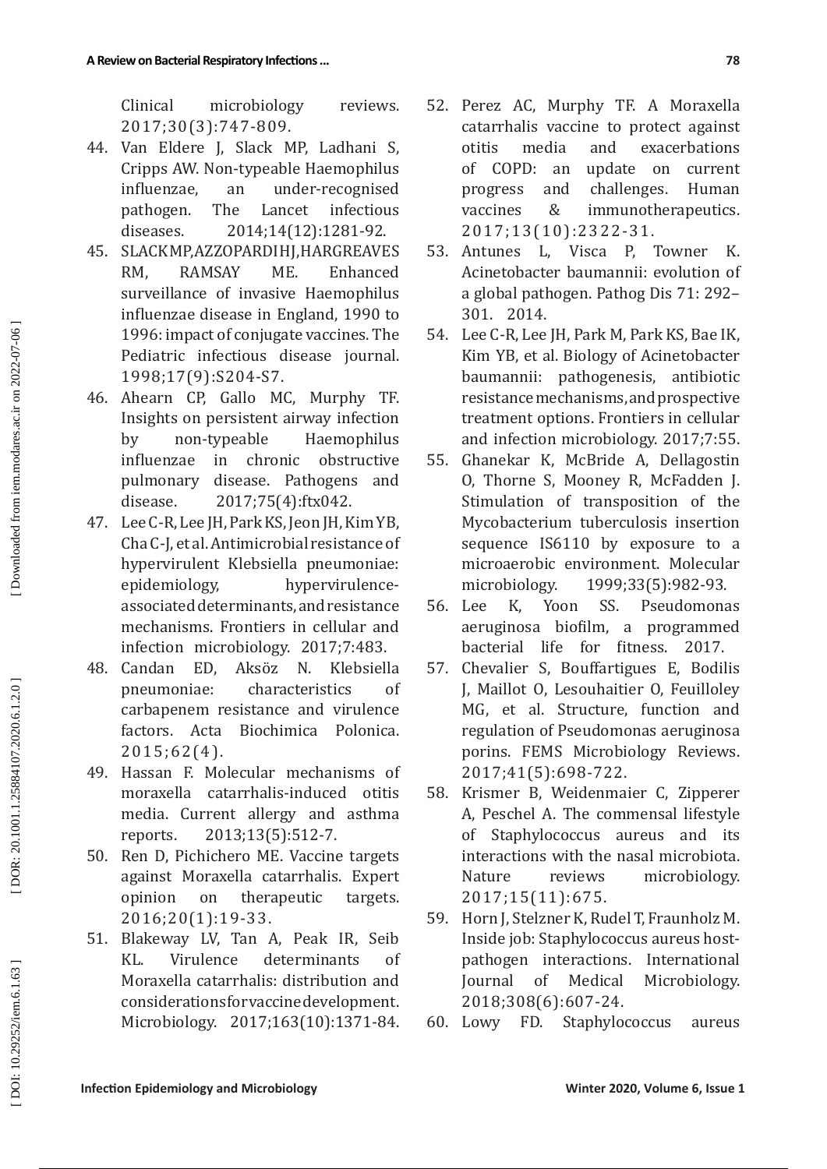Clinical microbiology reviews. 2017;30(3):747-809.

- 44 . Van Eldere J, Slack MP, Ladhani S, Cripps AW. Non-typeable Haemophilus<br>influenzae. an under-recognised an under-recognised<br>The Lancet infectious pathogen. The Lancet diseases. 2014;14(12):1281-92.
- 45 . SLACK MP, AZZOPARDI HJ, HARGREAVES RM, RAMSAY ME. Enhanced surveillance of invasive Haemophilus influenzae disease in England, 1990 to 1996: impact of conjugate vaccines. The Pediatric infectious disease journal. 1998;17(9):S204-S7.
- 46 . Ahearn CP, Gallo MC, Murphy TF. Insights on persistent airway infection<br>by non-typeable Haemophilus by non-typeable influenzae in chronic obstructive disease. Pathogens and disease. 2017;75(4):ftx042.
- 47 . Lee C-R, Lee JH, Park KS, Jeon JH, Kim YB, Cha C-J, et al. Antimicrobial resistance of hypervirulent Klebsiella pneumoniae:<br>epidemiology, hypervirulencehypervirulenceassociated determinants, and resistance mechanisms. Frontiers in cellular and
- infection microbiology. 2017;7:483. 48 . Candan ED, Aksöz N. Klebsiella pneumoniae: characteristics of carbapenem resistance and virulence<br>factors. Acta Biochimica Polonica. factors. Acta Biochimica Polonica. 2015;62(4).
- 49 . Hassan F. Molecular mechanisms of moraxella catarrhalis-induced otitis media. Current allergy and asthma reports. 2013;13(5):512-7.
- 50 . Ren D, Pichichero ME. Vaccine targets against Moraxella catarrhalis. Expert opinion on therapeutic targets. 2016;20(1):19-33 .
- 51 . Blakeway LV, Tan A, Peak IR, Seib KL. Virulence determinants of Moraxella catarrhalis: distribution and considerations for vaccine development. Microbiology. 2017;163(10):1371-84.
- 52 . Perez AC, Murphy TF. A Moraxella catarrhalis vaccine to protect against<br>otitis media and exacerbations otitis media and exacerbations<br>of COPD: an update on current of COPD: an update on current<br>progress and challenges. Human progress and challenges. Human<br>vaccines & immunotherapeutics. vaccines & immunotherapeutics. 2017;13(10):2322-31.
- 53 . Antunes L, Visca P, Towner K. Acinetobacter baumannii: evolution of a global pathogen. Pathog Dis 71: 292– 301. 2014.
- 54 . Lee C-R, Lee JH, Park M, Park KS, Bae IK, Kim YB, et al. Biology of Acinetobacter baumannii: pathogenesis, antibiotic resistance mechanisms, and prospective treatment options. Frontiers in cellular and infection microbiology. 2017;7:55 .
- 55 . Ghanekar K, McBride A, Dellagostin O, Thorne S, Mooney R, McFadden J. Stimulation of transposition of the Mycobacterium tuberculosis insertion sequence IS6110 by exposure to a microaerobic environment. Molecular<br>microbiology. 1999;33(5):982-93. microbiology. 1999;33(5):982-93 .
- 56 K, Yoon SS. Pseudomonas aeruginosa biofilm, a programmed bacterial life for fitness. 2017.
- 57 . Chevalier S, Bouffartigues E, Bodilis J, Maillot O, Lesouhaitier O, Feuilloley MG, et al. Structure, function and regulation of Pseudomonas aeruginosa porins. FEMS Microbiology Reviews. 2017;41(5):698-722.
- 58 . Krismer B, Weidenmaier C, Zipperer A, Peschel A. The commensal lifestyle of Staphylococcus aureus and its interactions with the nasal microbiota. Nature reviews microbiology. 2017;15(11):675.
- 59 . Horn J, Stelzner K, Rudel T, Fraunholz M. Inside job: Staphylococcus aureus hostpathogen interactions. International<br>Iournal of Medical Microbiology. of Medical Microbiology. 2018;308(6):607-24.
- 60. Lowy FD. Staphylococcus aureus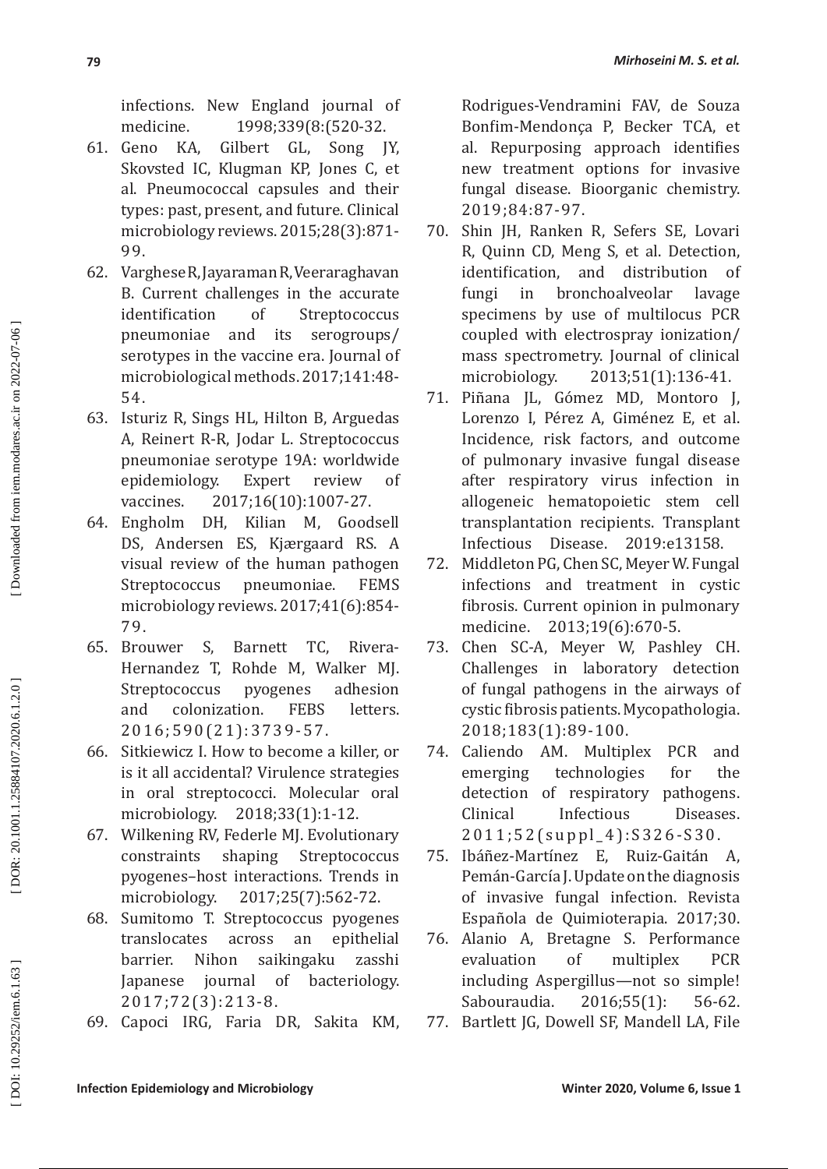infections. New England journal of medicine. 1998;339(8:(520-32.

- 61. Geno KA, Gilbert GL, Song JY, Skovsted IC, Klugman KP, Jones C, et al. Pneumococcal capsules and their types: past, present, and future. Clinical microbiology reviews. 2015;28(3):871- 99.
- 62 . Varghese R, Jayaraman R, Veeraraghavan B. Current challenges in the accurate<br>identification of Strentococcus identification of Streptococcus pneumoniae and its serogroups/ serotypes in the vaccine era. Journal of microbiological methods. 2017;141:48- 54.
- 63 . Isturiz R, Sings HL, Hilton B, Arguedas A, Reinert R-R, Jodar L. Streptococcus pneumoniae serotype 19A: worldwide<br>epidemiology. Expert review of epidemiology. vaccines. 2017;16(10):1007-27.
- 64. Engholm DH, Kilian M, Goodsell DS, Andersen ES, Kjærgaard RS. A visual review of the human pathogen<br>Streptococcus pneumoniae. FEMS Streptococcus microbiology reviews. 2017;41(6):854- 79.
- 65. Brouwer S, Barnett TC, Rivera-Hernandez T, Rohde M, Walker MJ. Streptococcus pyogenes adhesion<br>and colonization. FEBS letters. and colonization. 2016;590(21):3739-57.
- 66 . Sitkiewicz I. How to become a killer, or is it all accidental? Virulence strategies in oral streptococci. Molecular oral microbiology. 2018;33(1):1-12.
- 67 . Wilkening RV, Federle MJ. Evolutionary constraints shaping Streptococcus pyogenes–host interactions. Trends in microbiology. 2017;25(7):562-72.
- 68 . Sumitomo T. Streptococcus pyogenes translocates across an epithelial barrier. Nihon saikingaku zasshi<br>Japanese iournal of bacteriology. Japanese journal of bacteriology. 2017;72(3):213-8.
- 69 . Capoci IRG, Faria DR, Sakita KM,

Rodrigues-Vendramini FAV, de Souza Bonfim-Mendonça P, Becker TCA, et al. Repurposing approach identifies new treatment options for invasive fungal disease. Bioorganic chemistry. 2019;84:87-97.

- 70 . Shin JH, Ranken R, Sefers SE, Lovari R, Quinn CD, Meng S, et al. Detection, identification, and distribution of fungi in bronchoalveolar lavage specimens by use of multilocus PCR coupled with electrospray ionization/ mass spectrometry. Journal of clinical<br>microbiology. 2013;51(1):136-41. microbiology. 2013;51(1):136-41.
- 71 . Piñana JL, Gómez MD, Montoro J, Lorenzo I, Pérez A, Giménez E, et al. Incidence, risk factors, and outcome of pulmonary invasive fungal disease after respiratory virus infection in allogeneic hematopoietic stem cell transplantation recipients. Transplant Infectious Disease. 2019:e13158.
- 72 . Middleton PG, Chen SC, Meyer W. Fungal infections and treatment in cystic fibrosis. Current opinion in pulmonary medicine. 2013;19(6):670-5.
- 73 . Chen SC-A, Meyer W, Pashley CH. Challenges in laboratory detection of fungal pathogens in the airways of cystic fibrosis patients. Mycopathologia. 2018;183(1):89-100.
- 74. Caliendo AM. Multiplex PCR and<br>technologies for the emerging technologies for the detection of respiratory pathogens. Clinical Infectious Diseases. 2011;52(suppl\_4):S326-S30.
- 75 . Ibáñez-Martí�nez E, Ruiz-Gaitán A, Pemán-García J. Update on the diagnosis of invasive fungal infection. Revista Española de Quimioterapia. 2017;30.
- 76 . Alanio A, Bretagne S. Performance evaluation of multiplex PCR including Aspergillus—not so simple! Sabouraudia. 2016;55(1): 56-62.
- 77 . Bartlett JG, Dowell SF, Mandell LA, File

DOR: 20.1001.1.25884107.2020.6.1.2.0]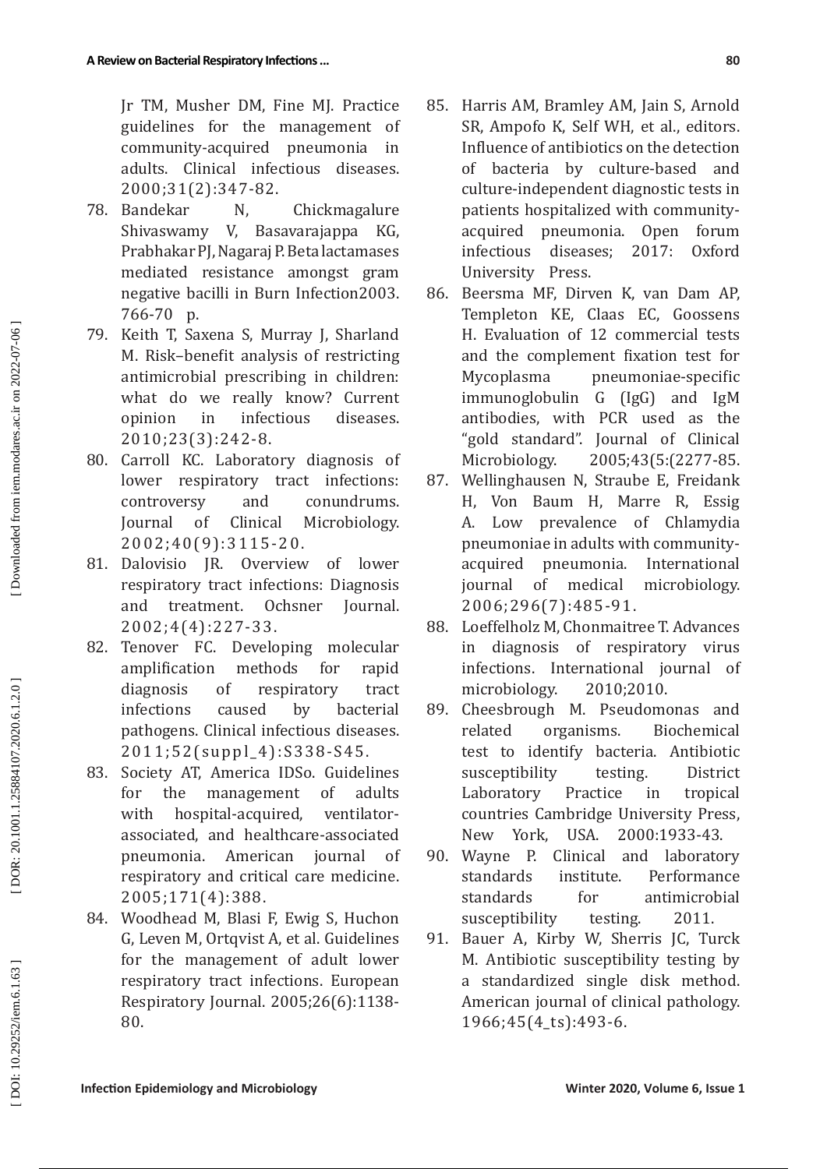Jr TM, Musher DM, Fine MJ. Practice guidelines for the management of<br>community-acquired pneumonia in community-acquired pneumonia in adults. Clinical infectious diseases. 2000;31(2):347-82.

- 78. Bandekar Bandekar N, Chickmagalure<br>Shivaswamy V, Basavarajappa KG, Basavarajappa KG, Prabhakar PJ, Nagaraj P. Beta lactamases mediated resistance amongst gram negative bacilli in Burn Infection2003. 766-70 p.
- 79 . Keith T, Saxena S, Murray J, Sharland M. Risk–benefit analysis of restricting antimicrobial prescribing in children: what do we really know? Current<br>opinion in infectious diseases. infectious diseases. 2010;23(3):242-8.
- 80 . Carroll KC. Laboratory diagnosis of lower respiratory tract infections: controversy and conundrums.<br>Journal of Clinical Microbiology. Microbiology. 2002;40(9):3115-20.
- 81 . Dalovisio JR. Overview of lower respiratory tract infections: Diagnosis and treatment. Ochsner Journal. 2002;4(4):227-33.
- 82. Tenover FC. Developing molecular amplification methods for rapid diagnosis of respiratory tract<br>infections caused by bacterial infections caused by bacterial pathogens. Clinical infectious diseases. 2011;52(suppl\_4):S338-S45.
- 83. Society AT, America IDSo. Guidelines for the management of adults with hospital-acquired, ventilatorassociated, and healthcare-associated pneumonia. American journal of respiratory and critical care medicine. 2005;171(4):388.
- 84. Woodhead M, Blasi F, Ewig S, Huchon G, Leven M, Ortqvist A, et al. Guidelines for the management of adult lower respiratory tract infections. European Respiratory Journal. 2005;26(6):1138- 80.
- 85. Harris AM, Bramley AM, Jain S, Arnold SR, Ampofo K, Self WH, et al., editors. Influence of antibiotics on the detection of bacteria by culture-based and culture-independent diagnostic tests in patients hospitalized with communityacquired pneumonia. Open forum<br>infectious diseases: 2017: Oxford infectious diseases; 2017: Oxford University Press.
- 86 . Beersma MF, Dirven K, van Dam AP, Templeton KE, Claas EC, Goossens H. Evaluation of 12 commercial tests and the complement fixation test for Mycoplasma pneumoniae-specific immunoglobulin G (IgG) and IgM antibodies, with PCR used as the "gold standard". Journal of Clinical Microbiology. : )2277-85 .
- 87. Wellinghausen N, Straube E, Freidank H, Von Baum H, Marre R, Essig A. Low prevalence of Chlamydia pneumoniae in adults with communityacquired pneumonia. International<br>journal of medical microbiology. microbiology. 2006;296(7):485-91.
- 88. Loeffelholz M, Chonmaitree T. Advances in diagnosis of respiratory virus infections. International journal of microbiology. 2010;2010.
- 89. Cheesbrough M. Pseudomonas and related organisms. Biochemical test to identify bacteria. Antibiotic susceptibility testing. District Laboratory Practice in tropical countries Cambridge University Press, New York, USA. 2000:1933-43.
- 90. Wayne P. Clinical and laboratory standards institute. Performance standards for antimicrobial susceptibility testing. 2011.
- 91. Bauer A, Kirby W, Sherris JC, Turck M. Antibiotic susceptibility testing by a standardized single disk method. American journal of clinical pathology. 1966;45(4\_ts):493-6.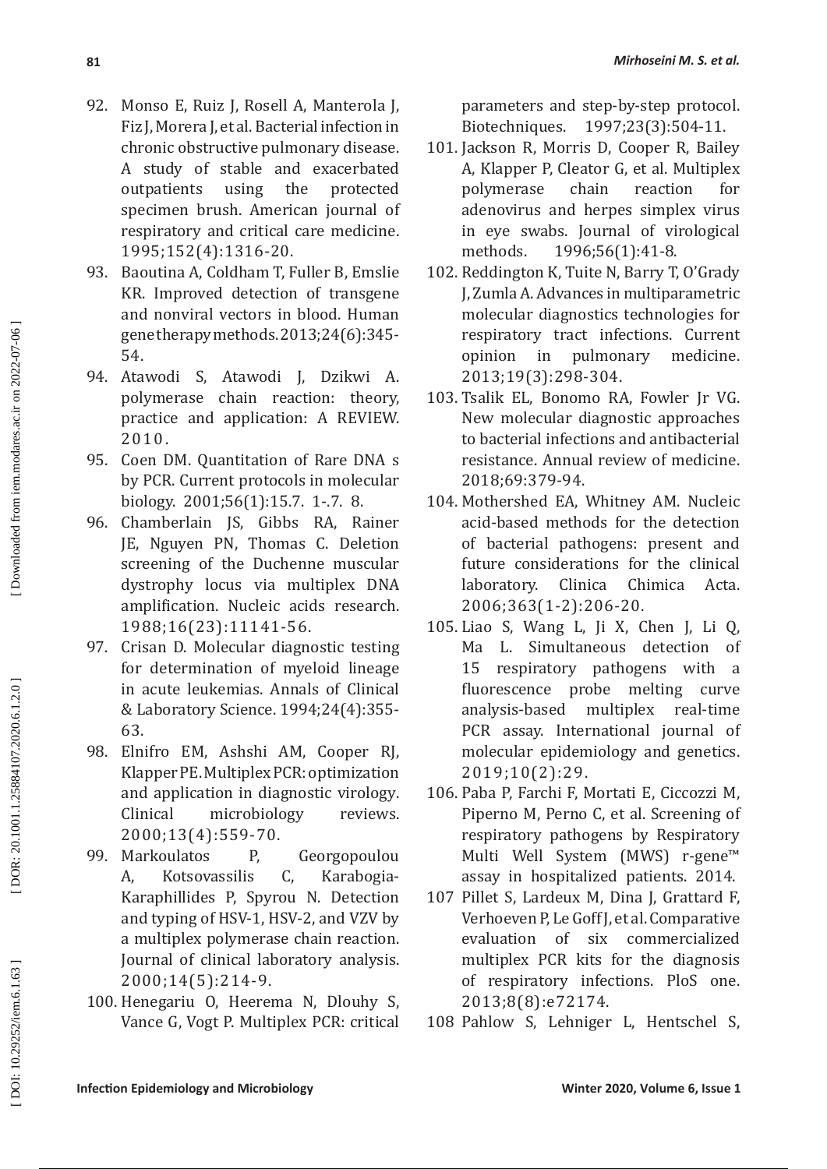- 92 . Monso E, Ruiz J, Rosell A, Manterola J, Fiz J, Morera J, et al. Bacterial infection in chronic obstructive pulmonary disease. A study of stable and exacerbated<br>outpatients using the protected outpatients specimen brush. American journal of respiratory and critical care medicine. 1995;152(4):1316-20.
- 93. Baoutina A, Coldham T, Fuller B, Emslie KR. Improved detection of transgene and nonviral vectors in blood. Human gene therapy methods. 2013;24(6):345- 54.
- 94 . Atawodi S, Atawodi J, Dzikwi A. polymerase chain reaction: theory, practice and application: A REVIEW. 2010.
- 95. Coen DM. Quantitation of Rare DNA s by PCR. Current protocols in molecular biology. 2001;56(1):15.7. 1-.7. 8.
- 96. Chamberlain JS, Gibbs RA, Rainer JE, Nguyen PN, Thomas C. Deletion screening of the Duchenne muscular dystrophy locus via multiplex DNA amplification. Nucleic acids research. 1988;16(23):11141-56.
- 97. Crisan D. Molecular diagnostic testing for determination of myeloid lineage in acute leukemias. Annals of Clinical & Laboratory Science. 1994;24(4):355- 63.
- 98. Elnifro EM, Ashshi AM, Cooper RJ, Klapper PE. Multiplex PCR: optimization and application in diagnostic virology . Clinical microbiology reviews. 2000;13(4):559-70.
- 99. Markoulatos P, Georgopoulou<br>A. Kotsovassilis C. Karabogia-A. Kotsovassilis Karabogia-Karaphillides P, Spyrou N. Detection and typing of HSV-1, HSV-2, and VZV by a multiplex polymerase chain reaction. Journal of clinical laboratory analysis. 2000;14(5):214-9.
- 100. Henegariu O, Heerema N, Dlouhy S, Vance G, Vogt P. Multiplex PCR: critical

parameters and step-by-step protocol. Biotechniques. 1997;23(3):504-11.

- 101. Jackson R, Morris D, Cooper R, Bailey A, Klapper P, Cleator G, et al. Multiplex<br>polymerase chain reaction for polymerase adenovirus and herpes simplex virus in eye swabs. Journal of virological<br>methods. 1996:56(1):41-8. 1996;56(1):41-8.
- 102. Reddington K, Tuite N, Barry T, O'Grady J, Zumla A. Advances in multiparametric molecular diagnostics technologies for respiratory tract infections. Current<br>opinion in pulmonary medicine. pulmonary 2013;19(3):298-304.
- 103. Tsalik EL, Bonomo RA, Fowler Jr VG. New molecular diagnostic approaches to bacterial infections and antibacterial resistance. Annual review of medicine. 2018;69:379-94 .
- 104. Mothershed EA, Whitney AM. Nucleic acid-based methods for the detection of bacterial pathogens: present and future considerations for the clinical<br>laboratory. Clinica Chimica Acta. laboratory. 2006;363(1-2):206-20.
- 105. Liao S, Wang L, Ji X, Chen J, Li Q, L. Simultaneous detection of 15 respiratory pathogens with a fluorescence probe melting curve<br>analysis-based multiplex real-time analysis-based multiplex PCR assay. International journal of molecular epidemiology and genetics. 2019;10(2):29.
- 106. Paba P, Farchi F, Mortati E, Ciccozzi M, Piperno M, Perno C, et al. Screening of respiratory pathogens by Respiratory Multi Well System (MWS) r-gene™ assay in hospitalized patients. 2014.
- 107 Pillet S, Lardeux M, Dina J, Grattard F, Verhoeven P, Le Goff J, et al. Comparative evaluation of six commercialized multiplex PCR kits for the diagnosis of respiratory infections. PloS one. 2013;8(8):e72174.
- 108 Pahlow S, Lehniger L, Hentschel S,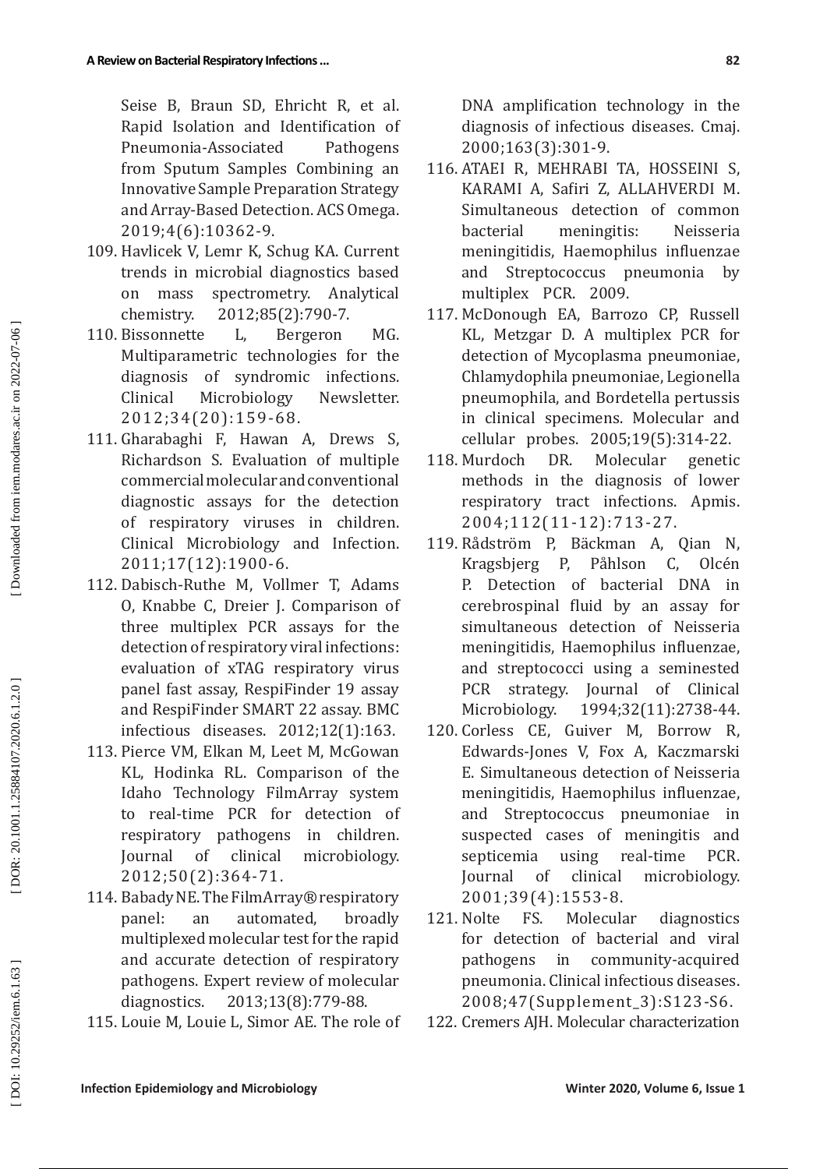Seise B, Braun SD, Ehricht R, et al. Rapid Isolation and Identification of Pneumonia-Associated Pathogens from Sputum Samples Combining an Innovative Sample Preparation Strategy and Array-Based Detection. ACS Omega. 2019;4(6):10362-9.

- 109. Havlicek V, Lemr K, Schug KA. Current trends in microbial diagnostics based on mass spectrometry. Analytical chemistry. 2012;85(2):790-7.
- 110. Bissonnette L, Bergeron MG. Multiparametric technologies for the diagnosis of syndromic infections. Clinical Microbiology Newsletter. 2012;34(20):159-68.
- 111. Gharabaghi F, Hawan A, Drews S, Richardson S. Evaluation of multiple commercial molecular and conventional diagnostic assays for the detection of respiratory viruses in children. Clinical Microbiology and Infection. 2011;17(12):1900-6.
- 112. Dabisch-Ruthe M, Vollmer T, Adams O, Knabbe C, Dreier J. Comparison of three multiplex PCR assays for the detection of respiratory viral infections: evaluation of xTAG respiratory virus panel fast assay, RespiFinder 19 assay and RespiFinder SMART 22 assay. BMC infectious diseases. 2012;12(1):163.
- 113. Pierce VM, Elkan M, Leet M, McGowan KL, Hodinka RL. Comparison of the Idaho Technology FilmArray system to real-time PCR for detection of respiratory pathogens in children. Journal of clinical microbiology. 2012;50(2):364-71.
- 114 . Babady NE. The FilmArray® respiratory panel: an automated, broadly multiplexed molecular test for the rapid and accurate detection of respiratory pathogens. Expert review of molecular diagnostics. 2013;13(8):779-88.
- 115 . Louie M, Louie L, Simor AE. The role of

DNA amplification technology in the diagnosis of infectious diseases. Cmaj. 2000;163(3):301-9.

- 116 . ATAEI R, MEHRABI TA, HOSSEINI S, KARAMI A, Safiri Z, ALLAHVERDI M. Simultaneous detection of common bacterial meningitis: Neisseria meningitidis, Haemophilus influenzae and Streptococcus pneumonia by multiplex PCR. 2009.
- 117 . McDonough EA, Barrozo CP, Russell KL, Metzgar D. A multiplex PCR for detection of Mycoplasma pneumoniae, Chlamydophila pneumoniae, Legionella pneumophila, and Bordetella pertussis in clinical specimens. Molecular and cellular probes. 2005;19(5):314-22.
- 118. Murdoch DR. Molecular genetic methods in the diagnosis of lower respiratory tract infections. Apmis. 2004;112(11 -12):713-27.
- 119 . Rådström P, Bäckman A, Qian N, Kragsbjerg P, Påhlson C, Olcén P. Detection of bacterial DNA in cerebrospinal fluid by an assay for simultaneous detection of Neisseria meningitidis, Haemophilus influenzae, and streptococci using a seminested PCR strategy. Journal of Clinical<br>Microbiology. 1994;32(11):2738-44. Microbiology. 1994;32(11):2738-44.
- 120 . Corless CE, Guiver M, Borrow R, Edwards-Jones V, Fox A, Kaczmarski E. Simultaneous detection of Neisseria meningitidis, Haemophilus influenzae, and Streptococcus pneumoniae in suspected cases of meningitis and<br>septicemia using real-time PCR. septicemia using real-time PCR. Journal of clinical microbiology. 2001;39(4):1553-8.
- 121. Nolte diagnostics for detection of bacterial and viral pathogens in community-acquired pneumonia. Clinical infectious diseases. 2008;47(Supplement\_3):S123-S6.
- 122. Cremers AJH. Molecular characterization